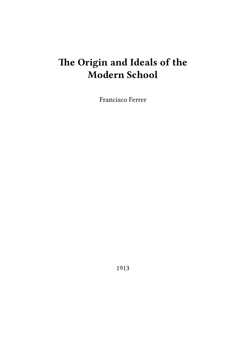# **The Origin and Ideals of the Modern School**

Francisco Ferrer

1913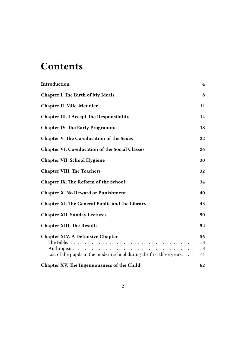## **Contents**

| Introduction                                                                                                              | 4                    |
|---------------------------------------------------------------------------------------------------------------------------|----------------------|
| <b>Chapter I. The Birth of My Ideals</b>                                                                                  | 8                    |
| <b>Chapter II. Mlle. Meunier</b>                                                                                          | 11                   |
| <b>Chapter III. I Accept The Responsibility</b>                                                                           | 14                   |
| <b>Chapter IV. The Early Programme</b>                                                                                    | 18                   |
| <b>Chapter V. The Co-education of the Sexes</b>                                                                           | 22                   |
| <b>Chapter VI. Co-education of the Social Classes</b>                                                                     | 26                   |
| Chapter VII. School Hygiene                                                                                               | 30                   |
| <b>Chapter VIII. The Teachers</b>                                                                                         | 32                   |
| <b>Chapter IX. The Reform of the School</b>                                                                               | 34                   |
| <b>Chapter X. No Reward or Punishment</b>                                                                                 | 40                   |
| Chapter XI. The General Public and the Library                                                                            | 43                   |
| <b>Chapter XII. Sunday Lectures</b>                                                                                       | 50                   |
| <b>Chapter XIII. The Results</b>                                                                                          | 52                   |
| <b>Chapter XIV. A Defensive Chapter</b><br>List of the pupils in the modern school during the first three years. $\ldots$ | 56<br>58<br>58<br>61 |
| Chapter XV. The Ingenuousness of the Child                                                                                | 62                   |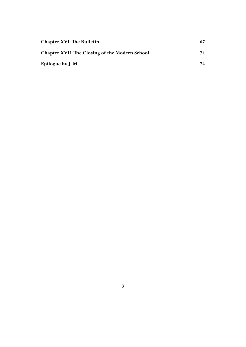| <b>Chapter XVI. The Bulletin</b>                      | 67 |
|-------------------------------------------------------|----|
| <b>Chapter XVII. The Closing of the Modern School</b> | 71 |
| Epilogue by J. M.                                     | 74 |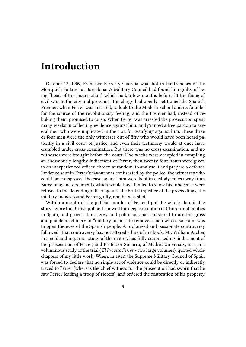#### <span id="page-3-0"></span>**Introduction**

October 12, 1909, Francisco Ferrer y Guardia was shot in the trenches of the Montjuich Fortress at Barcelona. A Military Council had found him guilty of being "head of the insurrection" which had, a few months before, lit the flame of civil war in the city and province. The clergy had openly petitioned the Spanish Premier, when Ferrer was arrested, to look to the Modern School and its founder for the source of the revolutionary feeling; and the Premier had, instead of rebuking them, promised to do so. When Ferrer was arrested the prosecution spent many weeks in collecting evidence against him, and granted a free pardon to several men who were implicated in the riot, for testifying against him. These three or four men were the only witnesses out of fifty who would have been heard patiently in a civil court of justice, and even their testimony would at once have crumbled under cross-examination. But there was no cross-examination, and no witnesses were brought before the court. Five weeks were occupied in compiling an enormously lengthy indictment of Ferrer; then twenty-four hours were given to an inexperienced officer, chosen at random, to analyse it and prepare a defence. Evidence sent in Ferrer's favour was confiscated by the police; the witnesses who could have disproved the case against him were kept in custody miles away from Barcelona; and documents which would have tended to show his innocense were refused to the defending officer against the brutal injustice of the proceedings, the military judges found Ferrer guilty, and he was shot.

Within a month of the judicial murder of Ferrer I put the whole abominable story before the British public. I showed the deep corruption of Church and politics in Spain, and proved that clergy and politicians had conspired to use the gross and pliable machinery of "military justice" to remove a man whose sole aim was to open the eyes of the Spanish people. A prolonged and passionate controversy followed. That controversy has not altered a line of my book. Mr. William Archer, in a cold and impartial study of the matter, has fully supported my indictment of the prosecution of Ferrer; and Professor Simarro, of Madrid University, has, in a voluminous study of the trial ( *El Proceso Ferrer* - two large volumes), quoted whole chapters of my little work. When, in 1912, the Supreme Military Council of Spain was forced to declare that no single act of violence could be directly or indirectly traced to Ferrer (whereas the chief witness for the prosecution had sworn that he saw Ferrer leading a troop of rioters), and ordered the restoration of his property,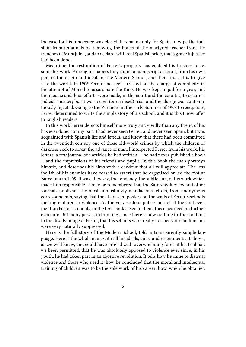the case for his innocence was closed. It remains only for Spain to wipe the foul stain from its annals by removing the bones of the martyred teacher from the trenches of Montjuich, and to declare, with real Spanish pride, that a grave injustice had been done.

Meantime, the restoration of Ferrer's property has enabled his trustees to resume his work. Among his papers they found a manuscript account, from his own pen, of the origin and ideals of the Modern School, and their first act is to give it to the world. In 1906 Ferrer had been arrested on the charge of complicity in the attempt of Morral to assassinate the King. He was kept in jail for a year, and the most scandalous efforts were made, in the court and the country, to secure a judicial murder; but it was a civil (or civilised) trial, and the charge was contemptuously rejected. Going to the Pyrenees in the early Summer of 1908 to recuperate, Ferrer determined to write the simple story of his school, and it is this I now offer to English readers.

In this work Ferrer depicts himself more truly and vividly than any friend of his has ever done. For my part, I had never seen Ferrer, and never seen Spain; but I was acquainted with Spanish life and letters, and knew that there had been committed in the twentieth century one of those old-world crimes by which the children of darkness seek to arrest the advance of man. I interpreted Ferrer from his work, his letters, a few journalistic articles he had written — he had never published a book — and the impressions of his friends and pupils. In this book the man portrays himself, and describes his aims with a candour that all will appreciate. The less foolish of his enemies have ceased to assert that he organised or led the riot at Barcelona in 1909. It was, they say, the tendency, the subtle aim, of his work which made him responsible. It may be remembered that the Saturday Review and other journals published the most unblushingly mendacious letters, from anonymous correspondents, saying that they had seen posters on the walls of Ferrer's schools inciting children to violence. As the very zealous police did not at the trial even mention Ferrer's schools, or the text-books used in them, these lies need no further exposure. But many persist in thinking, since there is now nothing further to think to the disadvantage of Ferrer, that his schools were really hot-beds of rebellion and were very naturally suppressed.

Here is the full story of the Modern School, told in transparently simple language. Here is the whole man, with all his ideals, aims, and resentments. It shows, as we well knew, and could have proved with overwhelming force at his trial had we been permitted, that he was absolutely opposed to violence ever since, in his youth, he had taken part in an abortive revolution. It tells how he came to distrust violence and those who used it; how he concluded that the moral and intellectual training of children was to be the sole work of his career; how, when he obtained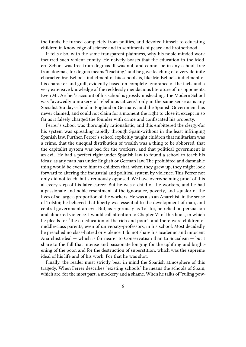the funds, he turned completely from politics, and devoted himself to educating children in knowledge of science and in sentiments of peace and brotherhood.

It tells also, with the same transparent plainness, why his noble minded work incurred such violent enmity. He naively boasts that the education in the Modern School was free from dogmas. It was not, and cannot be in any school, free from dogmas, for dogma means "teaching," and he gave teaching of a very definite character. Mr. Belloc's indictment of his schools is, like Mr. Belloc's indictment of his character and guilt, evidently based on complete ignorance of the facts and a very extensive knowledge of the recklessly mendacious literature of his opponents. Even Mr. Archer's account of his school is grossly misleading. The Modern School was "avowedly a nursery of rebellious citizens" only in the same sense as is any Socialist Sunday-school in England or Germany; and the Spanish Government has never claimed, and could not claim for a moment the right to close it, except in so far as it falsely charged the founder with crime and confiscated his property.

Ferrer's school was thoroughly rationalistic, and this embittered the clergy-for his system was spreading rapidly through Spain-without in the least infringing Spanish law. Further, Ferrer's school explicitly taught children that militarism was a crime, that the unequal distribution of wealth was a thing to be abhorred, that the capitalist system was bad for the workers, and that political government is an evil. He had a perfect right under Spanish law to found a school to teach his ideas; as any man has under English or German law. The prohibited and damnable thing would be even to hint to children that, when they grew up, they might look forward to altering the industrial and political system by violence. This Ferrer not only did not teach, but strenuously opposed. We have overwhelming proof of this at every step of his later career. But he was a child of the workers, and he had a passionate and noble resentment of the ignorance, poverty, and squalor of the lives of so large a proportion of the workers. He was also an Anarchist, in the sense of Tolstoi; he believed that liberty was essential to the development of man, and central government an evil. But, as rigorously as Tolstoi, he relied on persuasion and abhorred violence. I would call attention to Chapter VI of this book, in which he pleads for "the co-education of the rich and poor"; and there were children of middle-class parents, even of university-professors, in his school. Most decidedly he preached no class-hatred or violence. I do not share his academic and innocent Anarchist ideal — which is far nearer to Conservatism than to Socialism — but I share to the full that intense and passionate longing for the uplifting and brightening of the poor, and for the destruction of superstition, which was the supreme ideal of his life and of his work. For that he was shot.

Finally, the reader must strictly bear in mind the Spanish atmosphere of this tragedy. When Ferrer describes "existing schools" he means the schools of Spain, which are, for the most part, a mockery and a shame. When he talks of "ruling pow-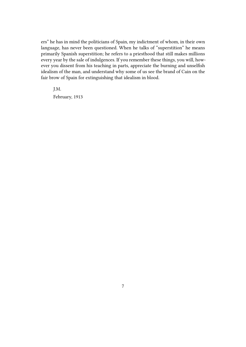ers" he has in mind the politicians of Spain, my indictment of whom, in their own language, has never been questioned. When he talks of "superstition" he means primarily Spanish superstition; he refers to a priesthood that still makes millions every year by the sale of indulgences. If you remember these things, you will, however you dissent from his teaching in parts, appreciate the burning and unselfish idealism of the man, and understand why some of us see the brand of Cain on the fair brow of Spain for extinguishing that idealism in blood.

J.M.

February, 1913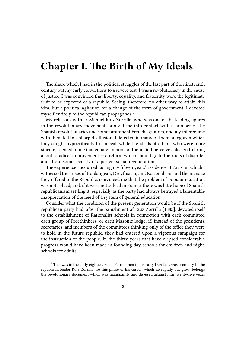## <span id="page-7-0"></span>**Chapter I. The Birth of My Ideals**

The share which I had in the political struggles of the last part of the nineteenth century put my early convictions to a severe test. I was a revolutionary in the cause of justice; I was convinced that liberty, equality, and fraternity were the legitimate fruit to be expected of a republic. Seeing, therefore, no other way to attain this ideal but a political agitation for a change of the form of government, I devoted myself entirely to the republican propaganda.<sup>1</sup>

My relations with D. Manuel Ruiz Zorrilla, who was one of the leading figures in the revolutionary movement, brought me into contact with a number of the Spanish revolutionaries and some prominent French agitators, and my intercourse with them led to a sharp disillusion. I detected in many of them an egoism which they sought hypocritically to conceal, while the ideals of others, who were more sincere, seemed to me inadequate. In none of them did I perceive a design to bring about a radical improvement  $-$  a reform which should go to the roots of disorder and afford some security of a perfect social regeneration.

The experience I acquired during my fifteen years' residence at Paris, in which I witnessed the crises of Boulangism, Dreyfusism, and Nationalism, and the menace they offered to the Republic, convinced me that the problem of popular education was not solved; and, if it were not solved in France, there was little hope of Spanish republicanism settling it, especially as the party had always betrayed a lamentable inappreciation of the need of a system of general education.

Consider what the condition of the present generation would be if the Spanish republican party had, after the banishment of Ruiz Zorrilla [1885], devoted itself to the establishment of Rationalist schools in connection with each committee, each group of Freethinkers, or each Masonic lodge; if, instead of the presidents, secretaries, and members of the committees thinking only of the office they were to hold in the future republic, they had entered upon a vigorous campaign for the instruction of the people. In the thirty years that have elapsed considerable progress would have been made in founding day-schools for children and nightschools for adults.

 $1$  This was in the early eighties, when Ferrer, then in his early twenties, was secretary to the republican leader Ruiz Zorrilla. To this phase of his career, which he rapidly out grew, belongs the revolutionary document which was malignantly and dis-used against him twenty-five years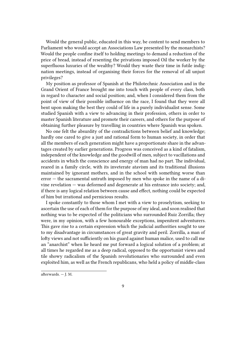Would the general public, educated in this way, be content to send members to Parliament who would accept an Associations Law presented by the monarchists? Would the people confine itself to holding meetings to demand a reduction of the price of bread, instead of resenting the privations imposed Oil the worker by the superfluous luxuries of the wealthy? Would they waste their time in futile indignation meetings, instead of organising their forces for the removal of all unjust privileges?

My position as professor of Spanish at the Philotechnic Association and in the Grand Orient of France brought me into touch with people of every class, both in regard to character and social position; and, when I considered them from the point of view of their possible influence on the race, I found that they were all bent upon making the best they could of life in a purely individualist sense. Some studied Spanish with a view to advancing in their profession, others in order to master Spanish literature and promote their careers, and others for the purpose of obtaining further pleasure by travelling in countries where Spanish was spoken.

No one felt the absurdity of the contradictions between belief and knowledge; hardly one cared to give a just and rational form to human society, in order that all the members of each generation might have a proportionate share in the advantages created by earlier generations. Progress was conceived as a kind of fatalism, independent of the knowledge and the goodwill of men, subject to vacillations and accidents in which the conscience and energy of man had no part. The individual, reared in a family circle, with its inveterate atavism and its traditional illusions maintained by ignorant mothers, and in the school with something worse than error — the sacramental untruth imposed by men who spoke in the name of a divine revelation — was deformed and degenerate at his entrance into society; and, if there is any logical relation between cause and effect, nothing could be expected of him but irrational and pernicious results.

I spoke constantly to those whom I met with a view to proselytism, seeking to ascertain the use of each of them for the purpose of my ideal, and soon realised that nothing was to be expected of the politicians who surrounded Ruiz Zorrilla; they were, in my opinion, with a few honourable exceptions, impenitent adventurers. This gave rise to a certain expression which the judicial authorities sought to use to my disadvantage in circumstances of great gravity and peril. Zorrilla, a man of lofty views and not sufficiently on his guard against human malice, used to call me an "anarchist" when lie heard me put forward a logical solution of a problem; at all times he regarded me as a deep radical, opposed to the opportunist views and tile showy radicalism of the Spanish revolutionaries who surrounded and even exploited him, as well as the French republicans, who held a policy of middle-class

afterwards. — J. M.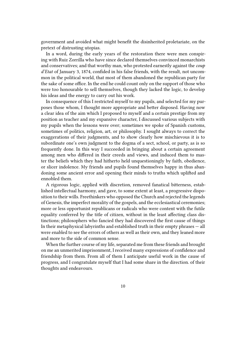government and avoided what might benefit the disinherited proletariate, on the pretext of distrusting utopias.

In a word, during the early years of the restoration there were men conspiring with Ruiz Zorrilla who have since declared themselves convinced monarchists and conservatives; and that worthy man, who protested earnestly against the *coup d'Etat* of January 3, 1874, confided in his false friends, with the result, not uncommon in the political world, that most of them abandoned the republican party for the sake of some office. In the end he could count only on the support of those who were too honourable to sell themselves, though they lacked the logic, to develop his ideas and the energy to carry out his work.

In consequence of this I restricted myself to my pupils, and selected for my purposes those whom, I thought more appropriate and better disposed. Having now a clear idea of the aim which I proposed to myself and a certain prestige from my position as teacher and my expansive character, I discussed various subjects with my pupils when the lessons were over; sometimes we spoke of Spanish customs, sometimes of politics, religion, art, or philosophy. I sought always to correct the exaggerations of their judgments, and to show clearly how mischievous it is to subordinate one's own judgment to the dogma of a sect, school, or party, as is so frequently done. In this way I succeeded in bringing about a certain agreement among men who differed in their creeds and views, and induced them to master the beliefs which they had hitherto held unquestioningly by faith, obedience, or slicer indolence. My friends and pupils found themselves happy in thus abandoning some ancient error and opening their minds to truths which uplifted and ennobled them.

A rigorous logic, applied with discretion, removed fanatical bitterness, established intellectual harmony, and gave, to some extent at least, a progressive disposition to their wills. Freethinkers who opposed the Church and rejected the legends of Genesis, the imperfect morality of the gospels, and the ecclesiastical ceremonies; more or less opportunist republicans or radicals who were content with the futile equality conferred by the title of citizen, without in the least affecting class distinctions; philosophers who fancied they had discovered the first cause of things In their metaphysical labyrinths and established truth in their empty phrases — all were enabled to see the errors of others as well as their own, and they leaned more and more to the side of common sense.

When the further course of my life, separated me from these friends and brought on me an unmerited imprisonment, I received many expressions of confidence and friendship from them. From all of them I anticipate useful work in the cause of progress, and I congratulate myself that I had some share in the direction. of their thoughts and endeavours.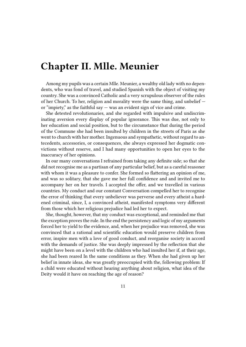## <span id="page-10-0"></span>**Chapter II. Mlle. Meunier**

Among my pupils was a certain Mlle. Meunier, a wealthy old lady with no dependents, who was fond of travel, and studied Spanish with the object of visiting my country. She was a convinced Catholic and a very scrupulous observer of the rules of her Church. To her, religion and morality were the same thing, and unbelief or "impiety," as the faithful say — was an evident sign of vice and crime.

She detested revolutionaries, and she regarded with impulsive and undiscriminating aversion every display of popular ignorance. This was due, not only to her education and social position, but to the circumstance that during the period of the Commune she had been insulted by children in the streets of Paris as she went to church with her mother. Ingenuous and sympathetic, without regard to antecedents, accessories, or consequences, she always expressed her dogmatic convictions without reserve, and I had many opportunities to open her eyes to the inaccuracy of her opinions.

In our many conversations I refrained from taking any definite side; so that she did not recognise me as a partisan of any particular belief, but as a careful reasoner with whom it was a pleasure to confer. She formed so flattering an opinion of me, and was so solitary, that she gave me her full confidence and and invited me to accompany her on her travels. I accepted the offer, and we travelled in various countries. My conduct and our constant Conversation compelled her to recognise the error of thinking that every unbeliever was perverse and every atheist a hardened criminal, since, I, a convinced atheist, manifested symptoms very different from those which her religious prejudice had led her to expect.

She, thought, however, that my conduct was exceptional, and reminded me that the exception proves the rule. In the end the persistency and logic of my arguments forced her to yield to the evidence, and, when her prejudice was removed, she was convinced that a rational and scientific education would preserve children from error, inspire men with a love of good conduct, and reorganise society in accord with the demands of justice. She was deeply impressed by the reflection that she might have been on a level with the children who had insulted her if, at their age, she had been reared In the same conditions as they. When she had given up her belief in innate ideas, she was greatly preoccupied with the, following problem: If a child were educated without hearing anything about religion, what idea of the Deity would it have on reaching the age of reason?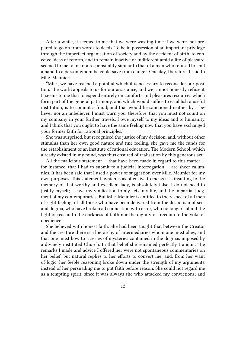After a while, it seemed to me that we were wasting time if we were. not prepared to go on from words to deeds. To be in possession of an important privilege through the imperfect organisation of society and by the accident of birth, to conceive ideas of reform, and to remain inactive or indifferent amid a life of pleasure, seemed to me to incur a responsibility similar to that of a man who refused to lend a hand to a person whom he could save from danger. One day, therefore, I said to Mlle. Meunier:

"Mlle., we have reached a point at which it is necessary to reconsider our position. The world appeals to us for our assistance, and we cannot honestly refuse it. It seems to me that to expend entirely on comforts and pleasures resources which form part of the general patrimony, and which would suffice to establish a useful institution, is to commit a fraud; and that would he sanctioned neither by a believer nor an unbeliever. I must warn you, therefore, that you must not count on my company in your further travels. I owe myself to my ideas and to humanity, and I think that you ought to have the same feeling now that you have exchanged your former faith for rational principles."

She was surprised, but recognised the justice of my decision, and, without other stimulus than her own good nature and fine feeling, she gave me the funds for the establishment of an institute of rational education. The Modern School, which already existed in my mind, was thus ensured of realisation by this generous act.

All the malicious statement  $-$  that have been made in regard to this matter  $$ for instance, that I had to submit to a judicial interrogation  $-$  are sheer calumnies. It has been said that I used a power of suggestion over Mlle. Meunier for my own purposes. This statement, which is as offensive to me as it is insulting to the memory of that worthy and excellent lady, is absolutely false. I do not need to justify myself; I leave my vindication to my acts, my life, and the impartial judgment of my contemporaries. But Mlle. Meunier is entitled to the respect of all men of right feeling, of all those who have been delivered from the despotism of sect and dogma, who have broken all connection with error, who no longer submit the light of reason to the darkness of faith nor the dignity of freedom to the yoke of obedience.

She believed with honest faith. She had been taught that between the Creator and the creature there is a hierarchy of intermediaries whom one must obey, and that one must bow to a series of mysteries contained in the dogmas imposed by a divinely instituted Church. In that belief she remained perfectly tranquil. The remarks I made and advice I offered her were not spontaneous commentaries on her belief, but natural replies to her efforts to convert me; and, from her want of logic, her feeble reasoning broke down under the strength of my arguments, instead of her persuading me to put faith before reason. She could not regard me as a tempting spirit, since it was always she who attacked my convictions; and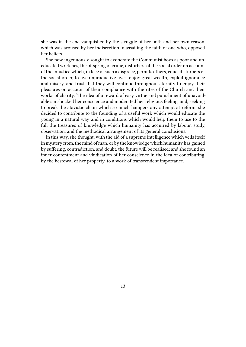she was in the end vanquished by the struggle of her faith and her own reason, which was aroused by her indiscretion in assailing the faith of one who, opposed her beliefs.

She now ingenuously sought to exonerate the Communist boys as poor and uneducated wretches, the offspring of crime, disturbers of the social order on account of the injustice which, in face of such a disgrace, permits others, equal disturbers of the social order, to live unproductive lives, enjoy great wealth, exploit ignorance and misery, and trust that they will continue throughout eternity to enjoy their pleasures on account of their compliance with the rites of the Church and their works of charity. 'The idea of a reward of easy virtue and punishment of unavoidable sin shocked her conscience and moderated her religious feeling, and, seeking to break the atavistic chain which so much hampers any attempt at reform, she decided to contribute to the founding of a useful work which would educate the young in a natural way and in conditions which would help them to use to the full the treasures of knowledge which humanity has acquired by labour, study, observation, and the methodical arrangement of its general conclusions.

In this way, she thought, with the aid of a supreme intelligence which veils itself in mystery from, the mind of man, or by the knowledge which humanity has gained by suffering, contradiction, and doubt, the future will be realised; and she found an inner contentment and vindication of her conscience in the idea of contributing, by the bestowal of her property, to a work of transcendent importance.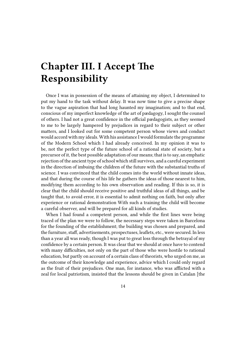# <span id="page-13-0"></span>**Chapter III. I Accept The Responsibility**

Once I was in possession of the means of attaining my object, I determined to put my hand to the task without delay. It was now time to give a precise shape to the vague aspiration that had long haunted my imagination; and to that end, conscious of my imperfect knowledge of the art of pædagogy, I sought the counsel of others. I had not a great confidence in the official pædagogists, as they seemed to me to be largely hampered by prejudices in regard to their subject or other matters, and I looked out for some competent person whose views and conduct would accord with my ideals. With his assistance I would formulate the programme of the Modern School which I had already conceived. In my opinion it was to be, not the perfect type of the future school of a rational state of society, but a precursor of it, the best possible adaptation of our means; that is to say, an emphatic rejection of the ancient type of school which still survives, and a careful experiment in the direction of imbuing the children of the future with the substantial truths of science. I was convinced that the child comes into the world without innate ideas, and that during the course of his life he gathers the ideas of those nearest to him, modifying them according to his own observation and reading. If this is so, it is clear that the child should receive positive and truthful ideas of all things, and be taught that, to avoid error, it is essential to admit nothing on faith, but only after experience or rational demonstration With such a training the child will become a careful observer, and will be prepared for all kinds of studies.

When I had found a competent person, and while the first lines were being traced of the plan we were to follow, the necessary steps were taken in Barcelona for the founding of the establishment; the building was chosen and prepared, and the furniture, staff, advertisements, prospectuses, leaflets, etc., were secured. In less than a year all was ready, though I was put to great loss through the betrayal of my confidence by a certain person. It was clear that we should at once have to contend with many difficulties, not only on the part of those who were hostile to rational education, but partly on account of a certain class of theorists, who urged on me, as the outcome of their knowledge and experience, advice which I could only regard as the fruit of their prejudices. One man, for instance, who was afflicted with a zeal for local patriotism, insisted that the lessons should be given in Catalan [the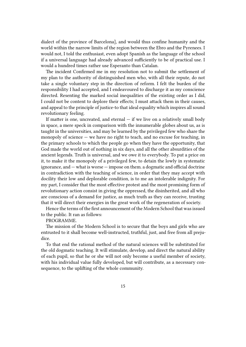dialect of the province of Barcelona], and would thus confine humanity and the world within the narrow limits of the region between the Ebro and the Pyrenees. I would not, I told the enthusiast, even adopt Spanish as the language of the school if a universal language had already advanced sufficiently to be of practical use. I would a hundred times rather use Esperanto than Catalan.

The incident Confirmed me in my resolution not to submit the settlement of my plan to the authority of distinguished men who, with all their repute, do not take a single voluntary step in the direction of reform. I felt the burden of the responsibility I had accepted, and I endeavoured to discharge it as my conscience directed. Resenting the marked social inequalities of the existing order as I did, I could not be content to deplore their effects; I must attack them in their causes, and appeal to the principle of justice-to that ideal equality which inspires all sound revolutionary feeling.

If matter is one, uncreated, and eternal  $-$  if we live on a relatively small body in space, a mere speck in comparison with the innumerable globes about us, as is taught in the universities, and may be learned by the privileged few who share the monopoly of science — we have no right to teach, and no excuse for teaching, in the primary schools to which the people go when they have the opportunity, that God made the world out of nothing in six days, and all the other absurdities of the ancient legends. Truth is universal, and we owe it to everybody. To put a price on it, to make it the monopoly of a privileged few, to detain the lowly in systematic ignorance, and — what is worse — impose on them. a dogmatic and official doctrine in contradiction with the teaching of science, in order that they may accept with docility their low and deplorable condition, is to me an intolerable indignity. For my part, I consider that the most effective protest and the most promising form of revolutionary action consist in giving the oppressed, the disinherited, and all who are conscious of a demand for justice, as much truth as they can receive, trusting that it will direct their energies in the great work of the regeneration of society.

Hence the terms of the first announcement of the Modern School that was issued to the public. It ran as follows:

#### PROGRAMME.

The mission of the Modern School is to secure that the boys and girls who are entrusted to it shall become well-instructed, truthful, just, and free from all prejudice.

To that end the rational method of the natural sciences will be substituted for the old dogmatic teaching. It will stimulate, develop, and direct the natural ability of each pupil, so that he or she will not only become a useful member of society, with his individual value fully developed, but will contribute, as a necessary consequence, to the uplifting of the whole community.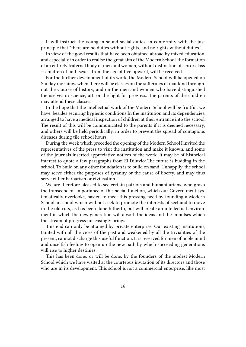It will instruct the young in sound social duties, in conformity with the just principle that "there are no duties without rights, and no rights without duties."

In view of the good results that have been obtained abroad by mixed education, and especially in order to realise the great aim of the Modern School-the formation of an entirely fraternal body of men and women, without distinction of sex or class — children of both sexes, from the age of five upward, will be received.

For the further development of its work, the Modern School will be opened on Sunday mornings when there will be classes on the sufferings of mankind throughout the Course of history, and on the men and women who have distinguished themselves in science, art, or the light for progress. The parents of the children may attend these classes.

In the hope that the intellectual work of the Modern School will be fruitful, we have, besides securing hygienic conditions In the institution and its dependencies, arranged to have a medical inspection of children at their entrance into the school. The result of this will be communicated to the parents if it is deemed necessary; and others will be held periodically, in order to prevent the spread of contagious diseases during tile school hours.

During the week which preceded the opening of the Modern School I invited the representatives of the press to visit the institution and make it known, and some of the journals inserted appreciative notices of the work. It may be of historical interest to quote a few paragraphs from El Diluvio: The future is budding in the school. To build on any other foundation is to build on sand. Unhappily, the school may serve either the purposes of tyranny or the cause of liberty, and may thus serve either barbarism or civilisation.

We are therefore pleased to see certain patriots and humanitarians, who grasp the transcendent importance of this social function, which our Govern ment systematically overlooks, hasten to meet this pressing need by founding a Modern School; a school which will not seek to promote the interests of sect and to move in the old ruts, as has been done hitherto, but will create an intellectual environment in which the new generation will absorb the ideas and the impulses which the stream of progress unceasingly brings.

This end can only be attained by private enterprise. Our existing institutions, tainted with all the vices of the past and weakened by all the trivialities of the present, cannot discharge this useful function. It is reserved for men of noble mind and unselfish feeling to open up the new path by which succeeding generations will rise to higher destinies.

This has been done, or will be done, by the founders of the modest Modern School which we have visited at the courteous invitation of its directors and those who are in its development. This school is not a commercial enterprise, like most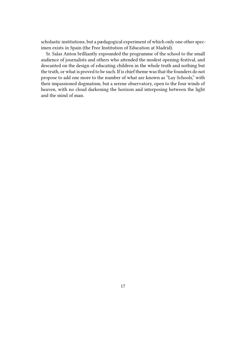scholastic institutions, but a pædagogical experiment of which only one other specimen exists in Spain (the Free Institution of Education at Madrid).

Sr. Salas Anton brilliantly expounded the programme of the school to the small audience of journalists and others who attended the modest opening-festival, and descanted on the design of educating children in the whole truth and nothing but the truth, or what is proved to be such. If is chief theme was that the founders do not propose to add one more to the number of what are known as "Lay Schools," with their impassioned dogmatism, but a serene observatory, open to the four winds of heaven, with no cloud darkening the horizon and interposing between the light and the mind of man.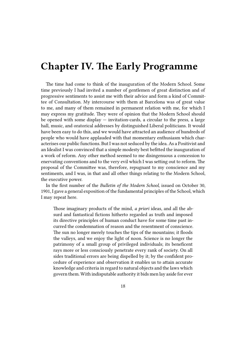#### <span id="page-17-0"></span>**Chapter IV. The Early Programme**

The time had come to think of the inauguration of the Modern School. Some time previously I had invited a number of gentlemen of great distinction and of progressive sentiments to assist me with their advice and form a kind of Committee of Consultation. My intercourse with them at Barcelona was of great value to me, and many of them remained in permanent relation with me, for which I may express my gratitude. They were of opinion that the Modern School should be opened with some display — invitation-cards, a circular to the press, a large hall, music, and oratorical addresses by distinguished Liberal politicians. It would have been easy to do this, and we would have attracted an audience of hundreds of people who would have applauded with that momentary enthusiasm which characterises our public functions. But I was not seduced by the idea. As a Positivist and an Idealist I was convinced that a simple modesty best befitted the inauguration of a work of reform. Any other method seemed to me disingenuous a concession to enervating conventions and to the very evil which I was setting out to reform. The proposal of the Committee was, therefore, repugnant to my conscience and my sentiments, and I was, in that and all other things relating to the Modern School, the executive power.

In the first number of the *Bulletin of the Modern School*, issued on October 30, 1901, I gave a general exposition of the fundamental principles of the School, which I may repeat here.

Those imaginary products of the mind, *a priori* ideas, and all the absurd and fantastical fictions hitherto regarded as truth and imposed its directive principles of human conduct have for some time past incurred the condemnation of reason and the resentment of conscience. The sun no longer merely touches the tips of the mountains; it floods the valleys, and we enjoy the light of noon. Science is no longer the patrimony of a small group of privileged individuals; its beneficent rays more or less consciously penetrate every rank of society. On all sides traditional errors are being dispelled by it; by the confident procedure of experience and observation it enables us to attain accurate knowledge and criteria in regard to natural objects and the laws which govern them. With indisputable authority it bids men lay aside for ever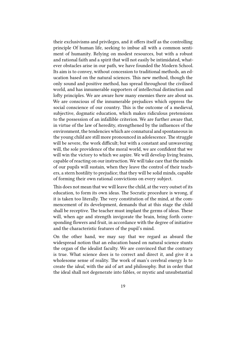their exclusivisms and privileges, and it offers itself as the controlling principle Of human life, seeking to imbue all with a common sentiment of humanity. Relying on modest resources, but with a robust and rational faith and a spirit that will not easily be intimidated, whatever obstacles arise in our path, we have founded the Modern School. Its aim is to convey, without concession to traditional methods, an education based on the natural sciences. This new method, though the only sound and positive method, has spread throughout the civilised world, and has innumerable supporters of intellectual distinction and lofty principles. We are aware how many enemies there are about us. We are conscious of the innumerable prejudices which oppress the social conscience of our country. This is the outcome of a medieval, subjective, dogmatic education, which makes ridiculous pretensions to the possession of an infallible criterion. We are further aware that, in virtue of the law of heredity, strengthened by the influences of the environment, the tendencies which are connatural and spontaneous in the young child are still more pronounced in adolescence. The struggle will be severe, the work difficult; but with a constant and unwavering will, the sole providence of the moral world, we are confident that we will win the victory to which we aspire. We will develop living brains, capable of reacting on our instruction. We will take care that the minds of our pupils will sustain, when they leave the control of their teachers, a stern hostility to prejudice; that they will be solid minds, capable of forming their own rational convictions on every subject.

This does not mean that we will leave the child, at the very outset of its education, to form its own ideas. The Socratic procedure is wrong, if it is taken too literally. The very constitution of the mind, at the commencement of its development, demands that at this stage the child shall be receptive. The teacher must implant the germs of ideas. These will, when age and strength invigorate the brain, bring forth corresponding flowers and fruit, in accordance with the degree of initiative and the characteristic features of the pupil's mind.

On the other hand, we may say that we regard as absurd the widespread notion that an education based on natural science stunts the organ of the idealist faculty. We are convinced that the contrary is true. What science does is to correct and direct it, and give it a wholesome sense of reality. The work of man's cerebral energy Is to create the *ideal*, with the aid of art and philosophy. But in order that the ideal shall not degenerate into fables, or mystic and unsubstantial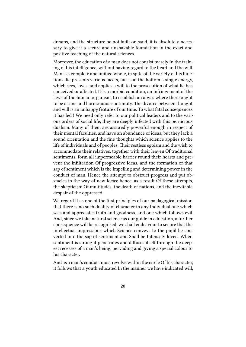dreams, and the structure be not built on sand, it is absolutely necessary to give it a secure and unshakable foundation in the exact and positive teaching of the natural sciences.

Moreover, the education of a man does not consist merely in the training of his intelligence, without having regard to the heart and the will. Man is a complete and unified whole, in spite of the variety of his functions. lie presents various facets, but is at the bottom a single energy, which sees, loves, and applies a will to the prosecution of what lie has conceived or affected. It is a morbid condition, an infringement of the laws of the human organism, to establish an abyss where there ought to be a sane and harmonious continuity. The divorce between thought and will is an unhappy feature of our time. To what fatal consequences it has led ! We need only refer to our political leaders and to the various orders of social life; they are deeply infected with this pernicious dualism. Many of them are assuredly powerful enough in respect of their mental faculties, and have an abundance of ideas; but they lack a sound orientation and the fine thoughts which science applies to the life of individuals and of peoples. Their restless egoism and the wish to accommodate their relatives, together with their leaven Of traditional sentiments, form all impermeable barrier round their hearts and prevent the infiltration Of progressive Ideas, and the formation of that sap of sentiment which is the Impelling and determining power in the conduct of man. Hence the attempt to obstruct progress and put obstacles in the way of new Ideas; hence, as a result Of these attempts, the skepticism Of multitudes, the death of nations, and the inevitable despair of the oppressed.

We regard It as one of the first principles of our pædagogical mission that there is no such duality of character in any Individual one which sees and appreciates truth and goodness, and one which follows evil. And, since we take natural science as our guide in education, a further consequence will be recognised; we shall endeavour to secure that the intellectual impressions which Science conveys to the pupil be converted into the sap of sentiment and Shall be Intensely loved. When sentiment is strong it penetrates and diffuses itself through the deepest recesses of a man's being, pervading and giving a special colour to his character.

And as a man's conduct must revolve within the circle Of his character, it follows that a youth educated In the manner we have indicated will,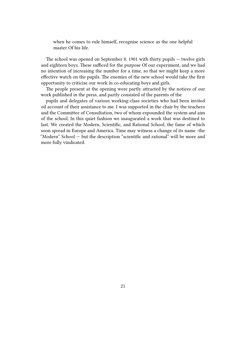when he comes to rule himself, recognise science as the one helpful master Of his life.

The school was opened on September 8, 1901 with thirty pupils — twelve girls and eighteen boys. These sufficed for the purpose Of our experiment, and we had no intention of increasing the number for a time, so that we might keep a more effective watch on the pupils. The enemies of the new school would take the first opportunity to criticise our work in co-educating boys and girls.

The people present at the opening were partly attracted by the notices of our work published in the press, and partly consisted of the parents of the

pupils and delegates of various working-class societies who had been invited oil account of their assistance to me. I was supported in the chair by the teachers and the Committee of Consultation, two of whom expounded the system and aim of the school. In this quiet fashion we inaugurated a work that was destined to last. We created the Modern, Scientific, and Rational School, the fame of which soon spread in Europe and America. Time may witness a change of its name -the "Modern" School — but the description "scientific and rational" will be more and more fully vindicated.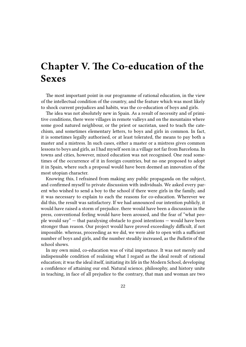## <span id="page-21-0"></span>**Chapter V. The Co-education of the Sexes**

The most important point in our programme of rational education, in the view of the intellectual condition of the country, and the feature which was most likely to shock current prejudices and habits, was the co-education of boys and girls.

The idea was not absolutely new in Spain. As a result of necessity and of primitive conditions, there were villages in remote valleys and on the mountains where some good natured neighbour, or the priest or sacristan, used to teach the catechism, and sometimes elementary letters, to boys and girls in common. In fact, it is sometimes legally authorised, or at least tolerated, the means to pay both a master and a mistress. In such cases, either a master or a mistress gives common lessons to boys and girls, as I had myself seen in a village not far from Barcelona. In towns and cities, however, mixed education was not recognised. One read sometimes of the occurrence of it in foreign countries, but no one proposed to adopt it in Spain, where such a proposal would have been deemed an innovation of the most utopian character.

Knowing this, I refrained from making any public propaganda on the subject, and confirmed myself to private discussion with individuals. We asked every parent who wished to send a boy to the school if there were girls in the family, and it was necessary to explain to each the reasons for co-education. Wherever we did this, the result was satisfactory. If we had announced our intention publicly, it would have raised a storm of prejudice. there would have been a discussion in the press, conventional feeling would have been aroused, and the fear of "what people would say" — that paralysing obstacle to good intentions — would have been stronger than reason. Our project would have proved exceedingly difficult, if not impossible. whereas, proceeding as we did, we were able to open with a sufficient number of boys and girls, and the number steadily increased, as the *Bulletin* of the school shows.

In my own mind, co-education was of vital importance. It was not merely and indispensable condition of realising what I regard as the ideal result of rational education; it was the ideal itself, initiating its life in the Modern School, developing a confidence of attaining our end. Natural science, philosophy, and history unite in teaching, in face of all prejudice to the contrary, that man and woman are two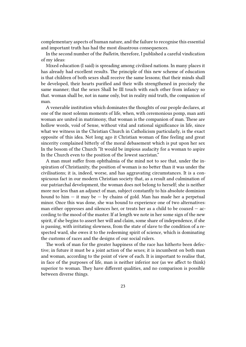complementary aspects of human nature, and the failure to recognise this essential and important truth has had the most disastrous consequences.

In the second number of the *Bulletin*, therefore, I published a careful vindication of my ideas:

Mixed education (I said) is spreading among civilised nations. In many places it has already had excellent results. The principle of this new scheme of education is that children of both sexes shall receive the same lessons; that their minds shall be developed, their hearts purified and their wills strengthened in precisely the same manner; that the sexes Shall be III touch with each other from infancy so that. woman shall be, not in name only, but in reality mid truth, the companion of man.

A venerable institution which dominates the thoughts of our people declares, at one of the most solemn moments of life, when, with ceremonious pomp, man anti woman are united in matrimony, that woman is the companion of man. These are hollow words, void of Sense, without vital and rational significance in life, since what we witness in the Christian Church in Catholicism particularly, is the exact opposite of this idea. Not long ago it Christian woman of fine feeling and great sincerity complained bitterly of the moral debasement which is put upon her sex In the bosom of the Church "It would be impious audacity for a woman to aspire In the Church even to the position of the lowest sacristan."

A man must suffer from ophthalmia of the mind not to see that, under the inspiration of Christianity, the position of woman is no better than it was under the civilisations; it is, indeed, worse, and has aggravating circumstances. It is a conspicuous fact in our modern Christian society that, as a result and culmination of our patriarchal development, the woman does not belong to herself; she is neither more nor less than an adjunct of man, subject constantly to his absolute dominion hound to him  $-$  it may be  $-$  by chains of gold. Man has made her a perpetual minor. Once this was done, she was bound to experience one of two alternatives: man either oppresses and silences her, or treats her as a child to be coaxed  $-$  according to the mood of the master. If at length we note in her some sign of the new spirit, if she begins to assert her will and claim, some share of independence, if she is passing, with irritating slowness, from the state of slave to the condition of a respected ward, she owes it to the redeeming spirit of science, which is dominating the customs of races and the designs of our social rulers.

The work of man for the greater happiness of the race has hitherto been defective; in future it must be a joint action of the sexes; it is incumbent on both man and woman, according to the point of view of each. It is important to realise that, in face of the purposes of life, man is neither inferior nor (as we affect to think) superior to woman. They have different qualities, and no comparison is possible between diverse things.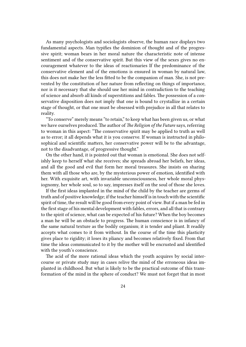As many psychologists and sociologists observe, the human race displays two fundamental aspects. Man typifies the dominion of thought and of the progressive spirit; woman bears in her moral nature the characteristic note of intense sentiment and of the conservative spirit. But this view of the sexes gives no encouragement whatever to the ideas of reactionaries If the predominance of the conservative element and of the emotions is ensured in woman by natural law, this does not make her the less fitted to be the companion of man. She, is not prevented by the constitution of her nature from reflecting on things of importance, nor is it necessary that she should use her mind in contradiction to the teaching of science and absorb all kinds of superstitions and fables. The possession of a conservative disposition does not imply that one is bound to crystallize in a certain stage of thought, or that one must be obsessed with prejudice in all that relates to reality.

"To conserve" merely means "to retain," to keep what has been given us, or what we have ourselves produced. The author of *The Religion of the Future* says, referring to woman in this aspect: "The conservative spirit may be applied to truth as well as to error; it all depends what it is you conserve. If woman is instructed in philosophical and scientific matters, her conservative power will be to the advantage, not to the disadvantage, of progressive thought."

On the other hand, it is pointed out that woman is emotional. She does not selfishly keep to herself what she receives; she spreads abroad her beliefs, her ideas, and all the good and evil that form her moral treasures. She insists on sharing them with all those who are, by the mysterious power of emotion, identified with her. With exquisite art, with invariable unconsciousness, her whole moral physiognomy, her whole soul, so to say, impresses itself on the soul of those she loves.

If the first ideas implanted in the mind of the child by the teacher are germs of truth and of positive knowledge; if the teacher himself is in touch with the scientific spirit of time, the result will be good from every point of view. But if a man be fed in the first stage of his mental development with fables, errors, and all that is contrary to the spirit of science, what can be expected of his future? When the boy becomes a man he will be an obstacle to progress. The human conscience is in infancy of the same natural texture as the bodily organism; it is tender and pliant. It readily accepts what comes to it from without. In the course of the time this plasticity gives place to rigidity; it loses its pliancy and becomes relatively fixed. From that time the ideas communicated to it by the mother will be encrusted and identified with the youth's conscience.

The acid of the more rational ideas which the youth acquires by social intercourse or private study may in cases relive the mind of the erroneous ideas implanted in childhood. But what is likely to be the practical outcome of this transformation of the mind in the sphere of conduct? We must not forget that in most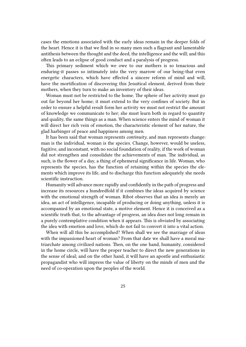cases the emotions associated with the early ideas remain in the deeper folds of the heart. Hence it is that we find in so many men such a flagrant and lamentable antithesis between the thought and the deed, the intelligence and the will; and this often leads to an eclipse of good conduct and a paralysis of progress.

This primary sediment which we owe to our mothers is so tenacious and enduring-it passes so intimately into the very marrow of our being-that even energetic characters, which have effected a sincere reform of mind and will, have the mortification of discovering this Jesuitical element, derived from their mothers, when they turn to make an inventory of their ideas.

Woman must not be restricted to the home. The sphere of her activity must go out far beyond her home; it must extend to the very confines of society. But in order to ensure a helpful result form her activity we must not restrict the amount of knowledge we communicate to her; she must learn both in regard to quantity and quality, the same things as a man. When science enters the mind of woman it will direct her rich vein of emotion, the characteristic element of her nature, the glad harbinger of peace and happiness among men.

It has been said that woman represents *continuity*, and man represents change: man is the individual, woman is the species. Change, however, would be useless, fugitive, and inconstant, with no social foundation of reality, if the work of woman did not strengthen and consolidate the achievements of man. The individual, as such, is the flower of a day, a thing of ephemeral significance in life. Woman, who represents the species, has the function of retaining within the species the elements which improve its life, and to discharge this function adequately she needs scientific instruction.

Humanity will advance more rapidly and confidently in the path of progress and increase its resources a hundredfold if it combines the ideas acquired by science with the emotional strength of woman. Ribot observes that an idea is merely an idea, an act of intelligence, incapable of producing or doing anything, unless it is accompanied by an emotional state, a motive element. Hence it is conceived as a scientific truth that, to the advantage of progress, an idea does not long remain in a purely contemplative condition when it appears. This is obviated by associating the idea with emotion and love, which do not fail to convert it into a vital action.

When will all this be accomplished? When shall we see the marriage of ideas with the impassioned heart of woman? From that date we shall have a moral matriarchate among civilized nations. Then, on the one hand, humanity, considered in the home circle, will have the proper teacher to direct the new generations in the sense of ideal; and on the other hand, it will have an apostle and enthusiastic propagandist who will impress the value of liberty on the minds of men and the need of co-operation upon the peoples of the world.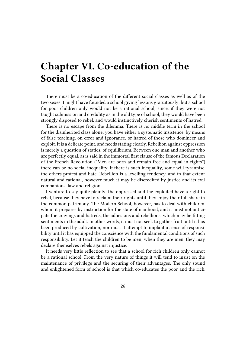# <span id="page-25-0"></span>**Chapter VI. Co-education of the Social Classes**

There must be a co-education of the different social classes as well as of the two sexes. I might have founded a school giving lessons gratuitously; but a school for poor children only would not be a rational school, since, if they were not taught submission and credulity as in the old type of school, they would have been strongly disposed to rebel, and would instinctively cherish sentiments of hatred.

There is no escape from the dilemma. There is no middle term in the school for the disinherited class alone; you have either a systematic insistence, by means of false teaching, on error and ignorance, or hatred of those who domineer and exploit. It is a delicate point, and needs stating clearly. Rebellion against oppression is merely a question of statics, of equilibrium. Between one man and another who are perfectly equal, as is said in the immortal first clause of the famous Declaration of the French Revolution ("Men are born and remain free and equal in rights") there can be no social inequality. If there is such inequality, some will tyrannise, the others protest and hate. Rebellion is a levelling tendency, and to that extent natural and rational, however much it may be discredited by justice and its evil companions, law and religion.

I venture to say quite plainly: the oppressed and the exploited have a right to rebel, because they have to reclaim their rights until they enjoy their full share in the common patrimony. The Modern School, however, has to deal with children, whom it prepares by instruction for the state of manhood, and it must not anticipate the cravings and hatreds, the adhesions and rebellions, which may be fitting sentiments in the adult. In other words, it must not seek to gather fruit until it has been produced by cultivation, nor must it attempt to implant a sense of responsibility until it has equipped the conscience with the fundamental conditions of such responsibility. Let it teach the children to be men; when they are men, they may declare themselves rebels against injustice.

It needs very little reflection to see that a school for rich children only cannot be a rational school. From the very nature of things it will tend to insist on the maintenance of privilege and the securing of their advantages. The only sound and enlightened form of school is that which co-educates the poor and the rich,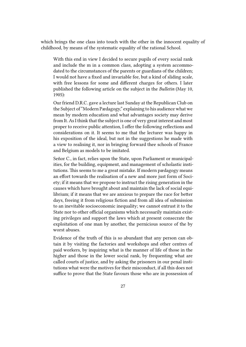which brings the one class into touch with the other in the innocent equality of childhood, by means of the systematic equality of the rational School.

With this end in view I decided to secure pupils of every social rank and include the m in a common class, adopting a system accommodated to the circumstances of the parents or guardians of the children; I would not have a fixed and invariable fee, but a kind of sliding scale, with free lessons for some and different charges for others. I later published the following article on the subject in the *Bulletin* (May 10, 1905):

Our friend D.R.C. gave a lecture last Sunday at the Republican Club on the Subject of "Modern Pædagogy," explaining to his audience what we mean by modern education and what advantages society may derive from It. As I think that the subject is one of very great interest and most proper to receive public attention, I offer the following reflections and considerations on it. It seems to me that the lecturer was happy in his exposition of the ideal, but not in the suggestions he made with a view to realising it, nor in bringing forward thee schools of France and Belgium as models to be imitated.

Señor C., in fact, relies upon the State, upon Parliament or municipalities, for the building, equipment, and management of scholastic institutions. This seems to me a great mistake. If modern pædagogy means an effort towards the realisation of a new and more just form of Society; if it means that we propose to instruct the rising generation in the causes which have brought about and maintain the lack of social equilibrium; if it means that we are anxious to prepare the race for better days, freeing it from religious fiction and from all idea of submission to an inevitable socioeconomic inequality; we cannot entrust it to the State nor to other official organisms which necessarily maintain existing privileges and support the laws which at present consecrate the exploitation of one man by another, the pernicious source of the by worst abuses.

Evidence of the truth of this is so abundant that any person can obtain it by visiting the factories and workshops and other centres of paid workers, by inquiring what is the manner of life of those in the higher and those in the lower social rank, by frequenting what are called courts of justice, and by asking the prisoners in our penal institutions what were the motives for their misconduct, if all this does not suffice to prove that the State favours those who are in possession of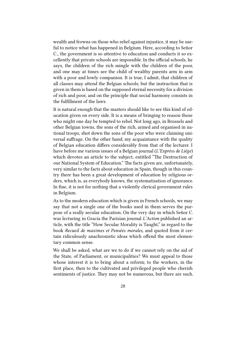wealth and frowns on those who rebel against injustice, it may be useful to notice what has happened in Belgium. Here, according to Señor C., the government is so attentive to education and conducts it so excellently that private schools are impossible. In the official schools, he says, the children of the rich mingle with the children of the poor, and one may at times see the child of wealthy parents arm in arm with a poor and lowly companion. It is true, I admit, that children of all classes may attend the Belgian schools; but the instruction that is given in them is based on the supposed eternal necessity for a division of rich and poor, and on the principle that social harmony consists in the fulfillment of the laws.

It is natural enough that the masters should like to see this kind of education given on every side. It is a means of bringing to reason those who might one day be tempted to rebel. Not long ago, in Brussels and other Belgian towns, the sons of the rich, armed and organised in national troops, shot down the sons of the poor who were claiming universal suffrage. On the other hand, my acquaintance with the quality of Belgian education differs considerably from that of the lecturer. I have before me various issues of a Belgian journal (*L'Expréss de Liége*) which devotes an article to the subject, entitled "The Destruction of our National System of Education." The facts given are, unfortunately, very similar to the facts about education in Spain, though in this country there has been a great development of education by religious orders, which is, as everybody knows, the systematisation of ignorance. In fine, it is not for nothing that a violently clerical government rules in Belgium.

As to the modern education which is given in French schools, we may say that not a single one of the books used in them serves the purpose of a really secular education. On the very day in which Señor C. was lecturing in Gracia the Parisian journal *L'Action* published an article, with the title "How Secular Morality is Taught," in regard to the book *Recueil de maximes et Pensées morales,* and quoted from it certain ridiculously anachronistic ideas which offend the most elementary common sense.

We shall be asked, what are we to do if we cannot rely on the aid of the State, of Parliament, or municipalities? We must appeal to those whose interest it is to bring about a reform; to the workers, in the first place, then to the cultivated and privileged people who cherish sentiments of justice. They may not be numerous, but there are such.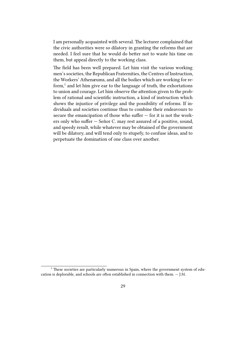I am personally acquainted with several. The lecturer complained that the civic authorities were so dilatory in granting the reforms that are needed. I feel sure that he would do better not to waste his time on them, but appeal directly to the working class.

The field has been well prepared. Let him visit the various working men's societies, the Republican Fraternities, the Centres of Instruction, the Workers' Athenæums, and all the bodies which are working for reform,<sup>1</sup> and let him give ear to the language of truth, the exhortations to union and courage. Let him observe the attention given to the problem of rational and scientific instruction, a kind of instruction which shows the injustice of privilege and the possibility of reforms. If individuals and societies continue thus to combine their endeavours to secure the emancipation of those who suffer — for it is not the workers only who suffer — Señor C. may rest assured of a positive, sound, and speedy result, while whatever may be obtained of the government will be dilatory, and will tend only to stupefy, to confuse ideas, and to perpetuate the domination of one class over another.

<sup>&</sup>lt;sup>1</sup> These societies are particularly numerous in Spain, where the government system of education is deplorable, and schools are often established in connection with them. — J.M.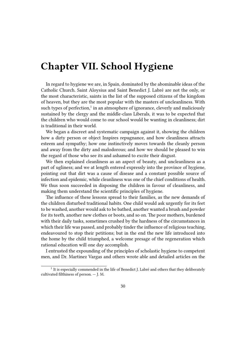## <span id="page-29-0"></span>**Chapter VII. School Hygiene**

In regard to hygiene we are, in Spain, dominated by the abominable ideas of the Catholic Church. Saint Aloysius and Saint Benedict J. Labré are not the only, or the most characteristic, saints in the list of the supposed citizens of the kingdom of heaven, but they are the most popular with the masters of uncleanliness. With such types of perfection,<sup>1</sup> in an atmosphere of ignorance, cleverly and maliciously sustained by the clergy and the middle-class Liberals, it was to be expected that the children who would come to our school would be wanting in cleanliness; dirt is traditional in their world.

We began a discreet and systematic campaign against it, showing the children how a dirty person or object Inspires repugnance, and how cleanliness attracts esteem and sympathy; how one instinctively moves towards the cleanly person and away from the dirty and malodorous; and how we should be pleased to win the regard of those who see its and ashamed to excite their disgust.

We then explained cleanliness as an aspect of beauty, and uncleanliness as a part of ugliness; and we at length entered expressly into the province of hygiene, pointing out that dirt was a cause of disease and a constant possible source of infection and epidemic, while cleanliness was one of the chief conditions of health. We thus soon succeeded in disposing the children in favour of cleanliness, and making them understand the scientific principles of hygiene.

The influence of these lessons spread to their families, as the new demands of the children disturbed traditional habits. One child would ask urgently for its feet to be washed, another would ask to be bathed, another wanted a brush and powder for its teeth, another new clothes or boots, and so on. The poor mothers, burdened with their daily tasks, sometimes crushed by the hardness of the circumstances in which their life was passed, and probably tinder the influence of religious teaching, endeavoured to stop their petitions; but in the end the new life introduced into the home by the child triumphed, a welcome presage of the regeneration which rational education will one day accomplish.

I entrusted the expounding of the principles of scholastic hygiene to competent men, and Dr. Martinez Vargas and others wrote able and detailed articles on the

<sup>&</sup>lt;sup>1</sup> It is especially commended in the life of Benedict J. Labré and others that they deliberately cultivated filthiness of person. — J. M.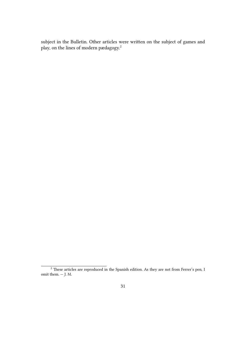subject in the Bulletin. Other articles were written on the subject of games and play, on the lines of modern pædagogy. $2$ 

 $\frac{2}{3}$  These articles are reproduced in the Spanish edition. As they are not from Ferrer's pen, I omit them.  $-$  J. M.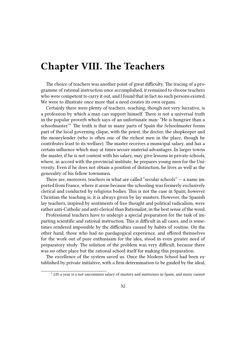## <span id="page-31-0"></span>**Chapter VIII. The Teachers**

The choice of teachers was another point of great difficulty. The tracing of a programme of rational instruction once accomplished, it remained to choose teachers who were competent to carry it out, and I found that in fact no such persons existed. We were to illustrate once more that a need creates its own organs.

Certainly there were plenty of teachers. reaching, though not very lucrative, is a profession by which a man can support himself. There is not a universal truth in the popular proverb which says of an unfortunate man: "He is hungrier than a schoolmaster."<sup>1</sup> The truth is that in many parts of Spain the Schoolmaster forms part of the local governing clique, with the priest, the doctor, the shopkeeper and the moneylender (who is often one of the richest men in the place, though he contributes least to its welfare). The master receives a municipal salary, and has a certain influence which may at times secure material advantages. In larger towns the master, if he is not content with his salary, may give lessons in private schools, where, in accord with the provincial institute, he prepares young men for the University. Even if he does not obtain a position of distinction, he lives as well as the generality of his fellow townsmen.

There are, moreover, teachers in what are called "secular schools" — a name imported from France, where it arose because the schooling was formerly exclusively clerical and conducted by religious bodies. This is not the case in Spain; however Christian the teaching is, it is always given by lay masters. However, the Spanish lay teachers, inspired by sentiments of free thought and political radicalism, were rather anti-Catholic and anti-clerical than Rationalist, in the best sense of the word.

Professional teachers have to undergo a special preparation for the task of imparting scientific and rational instruction. This is difficult in all cases, and is sometimes rendered impossible by the difficulties caused by habits of routine. On the other hand, those who had no paedagogical experience, and offered themselves for the work out of pure enthusiasm for the idea, stood in even greater need of preparatory study. The solution of the problem was very difficult, because there was no other place but the rational school itself for making this preparation.

The excellence of the system saved us. Once the Modern School had been established by private initiative, with a firm determination to be guided by the ideal,

 $1$  £20 a year is a not uncommon salary of masters and mistresses in Spain, and many cannot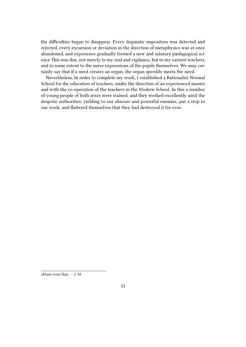the difficulties began to disappear. Every dogmatic imposition was detected and rejected, every excursion or deviation in the direction of metaphysics was at once abandoned, and experience gradually formed a new and salutary pædagogical science This was due, not merely to my zeal and vigilance, but to my earnest teachers, and to some extent to the naive expressions of the pupils themselves. We may certainly say that if a need creates an organ, the organ speedily meets the need.

Nevertheless, In order to complete my work, I established a Rationalist Normal School for the education of teachers, under the direction of an experienced master and with the co-operation of the teachers in the Modern School. In this a number of young people of both sexes were trained, and they worked excellently until the despotic authorities, yielding to our obscure and powerful enemies, put a stop to our work, and flattered themselves that they had destroyed it for ever.

obtain even that.  $-$  J. M.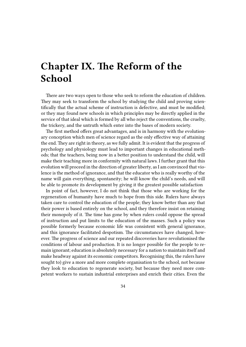## <span id="page-33-0"></span>**Chapter IX. The Reform of the School**

There are two ways open to those who seek to reform the education of children. They may seek to transform the school by studying the child and proving scientifically that the actual scheme of instruction is defective, and must be modified; or they may found new schools in which principles may be directly applied in the service of that ideal which is formed by all who reject the conventions, the cruelty, the trickery, and the untruth which enter into the bases of modern society.

The first method offers great advantages, and is in harmony with the evolutionary conception which men of science regard as the only effective way of attaining the end. They are right in theory, as we fully admit. It is evident that the progress of psychology and physiology must lead to important changes in educational methods; that the teachers, being now in a better position to understand the child, will make their teaching more in conformity with natural laws. I further grant that this evolution will proceed in the direction of greater liberty, as I am convinced that violence is the method of ignorance, and that the educator who is really worthy of the name will gain everything, spontaneity; he will know the child's needs, and will be able to promote its development by giving it the greatest possible satisfaction

In point of fact, however, I do not think that those who are working for the regeneration of humanity have much to hope from this side. Rulers have always taken care to control the education of the people; they know better than any that their power is based entirely on the school, and they therefore insist on retaining their monopoly of it. The time has gone by when rulers could oppose the spread of instruction and put limits to the education of the masses. Such a policy was possible formerly because economic life was consistent with general ignorance, and this ignorance facilitated despotism. The circumstances have changed, however. The progress of science and our repeated discoveries have revolutionised the conditions of labour and production. It is no longer possible for the people to remain ignorant; education is absolutely necessary for a nation to maintain itself and make headway against its economic competitors. Recognising this, the rulers have sought to) give a more and more complete organisation to the school, not because they look to education to regenerate society, but because they need more competent workers to sustain industrial enterprises and enrich their cities. Even the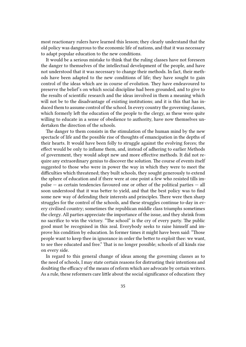most reactionary rulers have learned this lesson; they clearly understand that the old policy was dangerous to the economic life of nations, and that it was necessary to adapt popular education to the new conditions.

It would be a serious mistake to think that the ruling classes have not foreseen the danger to themselves of the intellectual development of the people, and have not understood that it was necessary to change their methods. In fact, their methods have been adapted to the new conditions of life; they have sought to gain control of the ideas which are in course of evolution. They have endeavoured to preserve the belief's on which social discipline had been grounded, and to give to the results of scientific research and the ideas involved in them a meaning which will not be to the disadvantage of existing institutions; and it is this that has induced them to assume control of the school. In every country the governing classes, which formerly left the education of the people to the clergy, as these were quite willing to educate in a sense of obedience to authority, have now themselves undertaken the direction of the schools.

The danger to them consists in the stimulation of the human mind by the new spectacle of life and the possible rise of thoughts of emancipation in the depths of their hearts. It would have been folly to struggle against the evolving forces; the effect would be only to inflame them, and, instead of adhering to earlier Methods of government, they would adopt new and more effective methods. It did not require any extraordinary genius to discover the solution. The course of events itself suggested to those who were in power the way in which they were to meet the difficulties which threatened; they built schools, they sought generously to extend the sphere of education and if there were at one point a few who resisted tills impulse — as certain tendencies favoured one or other of the political parties — all soon understood that it was better to yield, and that the best policy was to find some new way of defending their interests and principles. There were then sharp struggles for the control of the schools, and these struggles continue to-day in every civilised country; sometimes the republican middle class triumphs sometimes the clergy. All parties appreciate the importance of the issue, and they shrink from no sacrifice to win the victory. "The school" is the cry of every party. The public good must be recognised in this zeal. Everybody seeks to raise himself and improve his condition by education. In former times it might have been said: "Those people want to keep thee in ignorance in order the better to exploit thee: we want, to see thee educated and free." That is no longer possible; schools of all kinds rise on every side.

In regard to this general change of ideas among the governing classes as to the need of schools, I may state certain reasons for distrusting their intentions and doubting the efficacy of the means of reform which are advocate by certain writers. As a rule, these reformers care little about the social significance of education: they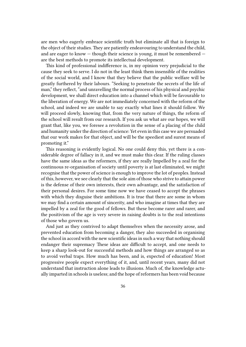are men who eagerly embrace scientific truth but eliminate all that is foreign to the object of their studies. They are patiently endeavouring to understand the child, and are eager to know — though their science is young, it must be remembered are the best methods to promote its intellectual development.

This kind of professional indifference is, in my opinion very prejudicial to the cause they seek to serve. I do not in the least think them insensible of the realities of the social world, and I know that they believe that the public welfare will be greatly furthered by their labours. "Seeking to penetrate the secrets of the life of man," they reflect, "and unravelling the normal process of his physical and psychic development, we shall direct education into a channel which will be favourable to the liberation of energy. We are not immediately concerned with the reform of the school, and indeed we are unable to say exactly what lines it should follow. We will proceed slowly, knowing that, from the very nature of things, the reform of the school will result from our research. If you ask us what are our hopes, we will grant that, like you, we foresee a revolution in the sense of a placing of the child and humanity under the direction of science: Yet even in this case we are persuaded that our work makes for that object, and will be the speediest and surest means of promoting it."

This reasoning is evidently logical. No one could deny this, yet there is a considerable degree of fallacy in it, and we must make this clear. If the ruling classes have the same ideas as the reformers, if they are really Impelled by a zeal for the continuous re-organisation of society until poverty is at last eliminated, we might recognise that the power of science is enough to improve the lot of peoples. Instead of this, however, we see clearly that the sole aim of those who strive to attain power is the defense of their own interests, their own advantage, and the satisfaction of their personal desires. For some time now we have ceased to accept the phrases with which they disguise their ambitions. It is true that there are some in whom we may find a certain amount of sincerity, and who imagine at times that they are impelled by a zeal for the good of fellows. But these become rarer and rarer, and the positivism of the age is very severe in raising doubts is to the real intentions of those who govern us.

And just as they contrived to adapt themselves when the necessity arose, and prevented education from becoming a danger, they also succeeded in organising the school in accord with the new scientific ideas in such a way that nothing should endanger their supremacy These ideas are difficult to accept, and one needs to keep a sharp look-out for successful methods and how things are arranged so as to avoid verbal traps. How much has been, and is, expected of education! Most progressive people expect everything of it, and, until recent years, many did not understand that instruction alone leads to illusions. Much of, the knowledge actually imparted in schools is useless; and the hope of reformers has been void because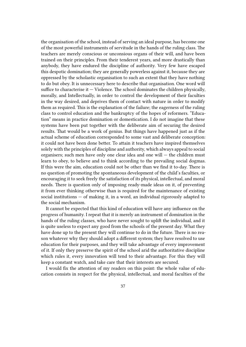the organisation of the school, instead of serving an ideal purpose, has become one of the most powerful instruments of servitude in the hands of the ruling class. The teachers are merely conscious or unconsious organs of their will, and have been trained on their principles. From their tenderest years, and more drastically than anybody, they have endured the discipline of authority. Very few have escaped this despotic domination; they are generally powerless against it, because they are oppressed by the scholastic organisation to such an extent that they have nothing to do but obey. It is unnecessary here to describe that organisation. One word will suffice to characterise it  $-$  Violence. The school dominates the children physically, morally, and Intellectually, in order to control the development of their faculties in the way desired, and deprives them of contact with nature in order to modify them as required. This is the explanation of the failure; the eagerness of the ruling class to control education and the bankruptcy of the hopes of reformers. "Education" means in practice domination or domestication. I do not imagine that these systems have been put together with the deliberate aim of securing the desired results. That would be a work of genius. But things have happened just as if the actual scheme of education corresponded to some vast and deliberate conception: it could not have been done better. To attain it teachers have inspired themselves solely with the principles of discipline and authority, which always appeal to social organisers; such men have only one clear idea and one will — the children must learn to obey, to believe and to think according to the prevailing social dogmas. If this were the aim, education could not be other than we find it to-day. There is no question of promoting the spontaneous development of the child's faculties, or encouraging it to seek freely the satisfaction of its physical, intellectual, and moral needs. There is question only of imposing ready-made ideas on it, of preventing it from ever thinking otherwise than is required for the maintenance of existing social institutions — of making it, in a word, an individual rigorously adapted to the social mechanism.

It cannot be expected that this kind of education will have any influence on the progress of humanity. I repeat that it is merely an instrument of domination in the hands of the ruling classes, who have never sought to uplift the individual, and it is quite useless to expect any good from the schools of the present day. What they have done up to the present they will continue to do in the future. There is no reason whatever why they should adopt a different system; they have resolved to use education for their purposes, and they will take advantage of every improvement of it. If only they preserve the spirit of the school arid the authoritative discipline which rules it, every innovation will tend to their advantage. For this they will keep a constant watch, and take care that their interests are secured.

I would fix the attention of my readers on this point: the whole value of education consists in respect for the physical, intellectual, and moral faculties of the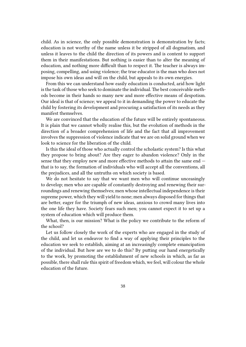child. As in science, the only possible demonstration is demonstration by facts; education is not worthy of the name unless it be stripped of all dogmatism, and unless it leaves to the child the direction of its powers and is content to support them in their manifestations. But nothing is easier than to alter the meaning of education, and nothing more difficult than to respect it. The teacher is always imposing, compelling, and using violence; the true educator is the man who does not impose his own ideas and will on the child, but appeals to its own energies.

From this we can understand how easily education is conducted, arid how light is the task of those who seek to dominate the individual. The best conceivable methods become in their hands so many new and more effective means of despotism. Our ideal is that of science; we appeal to it in demanding the power to educate the child by fostering its development and procuring a satisfaction of its needs as they manifest themselves.

We are convinced that the education of the future will be entirely spontaneous. It is plain that we cannot wholly realise this, but the evolution of methods in the direction of a broader comprehension of life and the fact that all improvement involves the suppression of violence indicate that we are on solid ground when we look to science for the liberation of the child.

Is this the ideal of those who actually control the scholastic system? Is this what they propose to bring about? Are they eager to abandon violence? Only in the sense that they employ new and more effective methods to attain the same end that is to say, the formation of individuals who will accept all the conventions, all the prejudices, and all the untruths on which society is based.

We do not hesitate to say that we want men who will continue unceasingly to develop; men who are capable of constantly destroying and renewing their surroundings and renewing themselves; men whose intellectual independence is their supreme power, which they will yield to none; men always disposed for things that are better, eager for the triumph of new ideas, anxious to crowd many lives into the one life they have. Society fears such men; you cannot expect it to set up a system of education which will produce them.

What, then, is our mission? What is the policy we contribute to the reform of the school?

Let us follow closely the work of the experts who are engaged in the study of the child, and let us endeavor to find a way of applying their principles to the education we seek to establish, aiming at an increasingly complete emancipation of the individual. But how are we to do this? By putting our hand energetically to the work, by promoting the establishment of new schools in which, as far as possible, there shall rule this spirit of freedom which, we feel, will colour the whole education of the future.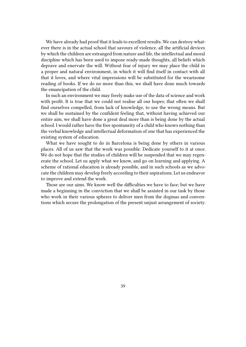We have already had proof that it leads to excellent results. We can destroy whatever there is in the actual school that savours of violence, all the artificial devices by which the children are estranged from nature and life, the intellectual and moral discipline which has been used to impose ready-made thoughts, all beliefs which deprave and enervate the will. Without fear of injury we may place the child in a proper and natural environment, in which it will find itself in contact with all that it loves, and where vital impressions will be substituted for the wearisome reading of books. If we do no more than this, we shall have done much towards the emancipation of the child.

In such an environment we may freely make use of the data of science and work with profit. It is true that we could not realise all our hopes; that often we shall find ourselves compelled, from lack of knowledge, to use the wrong means. But we shall be sustained by the confident feeling that, without having achieved our entire aim, we shall have done a great deal more than is being done by the actual school. I would rather have the free spontaneity of a child who knows nothing than the verbal knowledge and intellectual deformation of one that has experienced the existing system of education.

What we have sought to do in Barcelona is being done by others in various places. All of us saw that the work was possible. Dedicate yourself to it at once. We do not hope that the studies of children will he suspended that we may regenerate the school. Let us apply what we know, and go on learning and applying. A scheme of rational education is already possible, and in such schools as we advocate the children may develop freely according to their aspirations. Let us endeavor to improve and extend the work.

Those are our aims. We know well the difficulties we have to face; but we have made a beginning in the conviction that we shall be assisted in our task by those who work in their various spheres to deliver men from the dogmas and conventions which secure the prolongation of the present unjust arrangement of society.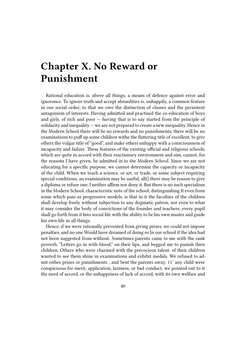# **Chapter X. No Reward or Punishment**

Rational education is, above all things, a means of defence against error and ignorance. To ignore truth and accept absurdities is, unhappily, a common feature in our social order; to that we owe the distinction of classes and the persistent antagonism of interests. Having admitted and practised the co-education of boys and girls, of rich and poor — having that is to say started from the principle of solidarity and inequality — we are not prepared to create a new inequality. Hence in the Modern School there will be no rewards and no punishments; there will be no examinations to puff up some children withe the flattering title of excellent, to give others the vulgar title of "good", and make others unhappy with a consciousness of incapacity and failure. These features of the existing official and religious schools, which are quite in accord with their reactionary environment and aim, cannot, for the reasons I have given, be admitted in to the Modern School. Since we are not educating for a specific purpose, we cannot determine the capacity or incapacity of the child. When we teach a science, or art, or trade, or some subject requiring special conditions, an examination may be useful, all(] there may be reason to give a diploma or refuse one; I neither affirm nor deny it. But there is no such specialism in the Modern School. characteristic note of the school, distinguishing It even from some which pass as progressive models, is that in it the faculties of the children shall develop freely without subjection to any dogmatic patron, not even to what it may consider the body of convictions of the founder and teachers; every pupil shall go forth from it Into social life with the ability to be his own master and guide his own life in all things.

Hence, if we were rationally prevented from giving prizes, we could not impose penalties, and no one Would have dreamed of doing so In our school if the idea had not been suggested from without. Sometimes parents came to me with the rank proverb, "Letters go in with blood," on their lips, and begged me to punish their children. Others who were charmed with the precocious talent. of their children wanted to see them shine in examinations and exhibit medals. We refused to admit either prizes or punishments , and Sent the parents away. 11' any child were conspicuous for merit, application, laziness, or bad conduct, we pointed out to it the need of accord, or the unhappiness of lack of accord, with its own welfare and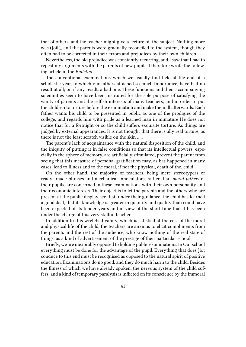that of others, and the teacher might give a lecture oil the subject. Nothing more was (]oil(,, and the parents were gradually reconciled to the system, though they often had to be corrected in their errors and prejudices by their own children.

Nevertheless, the old prejudice was constantly recurring, and I saw that I had to repeat my arguments with the parents of new pupils. I therefore wrote the following article in the *Bulletin:*

The conventional examinations which we usually find held at file end of a scholastic year, to which our fathers attached so much Importance, have had no result at all; or, if any result, a bad one. These functions and their accompanying solemnities seem to have been instituted for the sole purpose of satisfying the vanity of parents and the selfish interests of many teachers, and in order to put the children to torture before the examination and make them ill afterwards. Each father wants his child to be presented in public as one of the prodigies of the college, and regards him with pride as a learned man in miniature He does not notice that for a fortnight or so the child suffers exquisite torture. As things are judged by external appearances, It is not thought that there is ally real torture, as there is not the least scratch visible on the skin …..

The parent's lack of acquaintance with the natural disposition of the child, and the iniquity of putting it in false conditions so that its intellectual powers, especially in the sphere of memory, are artificially stimulated, prevent the parent from seeing that this measure of personal gratification may, as has happened in many cases, lead to Illness and to the moral, if not the physical, death of the, child.

On the other hand, the majority of teachers, being mere stereotypers of ready—made phrases and mechanical innoculators, rather than *moral fathers* of their pupils, are concerned in these examinations with their own personality and their economic interests. Their object is to let the parents and the others who are present at the public display see that, under their guidance, the child has learned a good deal, that its knowledge is greater in quantity and quality than could have been expected of its tender years and in view of the short time that it has been under the charge of this very skillful teacher.

In addition to this wretched vanity, which is satisfied at the cost of the moral and physical life of the child, the teachers are anxious to elicit compliments from the parents and the rest of the audience, who know nothing of the real state of things, as a kind of advertisement of the prestige of their particular school.

Briefly, we are inexorably opposed to holding public examinations. In Our school everything must be done for the advantage of the pupil. Everything that does ]lot conduce to this end must be recognised as opposed to the natural spirit of positive education. Examinations do no good, and they do much harm to the child. Besides the Illness of which we have already spoken, the nervous system of the child suffers, and a kind of temporary paralysis is inflicted on its conscience by the immoral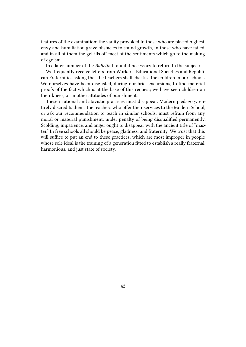features of the examination; the vanity provoked In those who are placed highest, envy and humiliation grave obstacles to sound growth, in those who have failed, and in all of them the gel-ills of' most of the sentiments which go to the making of egoism.

In a later number of the *Bulletin* I found it necessary to return to the subject:

We frequently receive letters from Workers' Educational Societies and Republican Fraternities asking that the teachers shall chastise the children in our schools. We ourselves have been disgusted, during our brief excursions, to find material proofs of the fact which is at the base of this request; we have seen children on their knees, or in other attitudes of punishment.

These irrational and atavistic practices must disappear. Modern pædagogy entirely discredits them. The teachers who offer their services to the Modern School, or ask our recommendation to teach in similar schools, must refrain from any moral or material punishment, under penalty of being disqualified permanently. Scolding, impatience, and anger ought to disappear with the ancient title of "master." In free schools all should be peace, gladness, and fraternity. We trust that this will suffice to put an end to these practices, which are most improper in people whose sole ideal is the training of a generation fitted to establish a really fraternal, harmonious, and just state of society.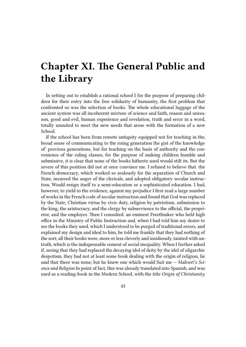# **Chapter XI. The General Public and the Library**

In setting out to establish a rational school I for the purpose of preparing children for their entry into the free solidarity of humanity, the first problem that confronted us was the selection of books. The whole educational luggage of the ancient system was all incoherent mixture of science and faith, reason and unreason, good and evil, human experience and revelation, truth and error in a word, totally unsuited to meet the new needs that arose with the formation of a new School.

If the school has been from remote antiquity equipped not for teaching in the, broad sense of communicating to the rising generation the gist of the knowledge of' previous generations, but for teaching on the basis of authority and the convenience of the ruling classes, for the purpose of making children humble and submissive, it is clear that none of the books hitherto used would stilt its. But the severe of this position did not at once convince me. I refused to believe that. the French democracy, which worked so zealously for the separation of Church and State, incurred the anger of the clericals, and adopted obligatory secular instruction, Would resign itself to a semi-education or a sophisticated education. I had, however, to yield to the evidence, against my prejudice I first read a large number of works in the French code of secular instruction and found that God was replaced by the State, Christian virtue by civic duty, religion by patriotism, submission to the king, the aristocracy, and the clergy by subservience to the official, the proprietor, and the employer. Then I consulted. an eminent Freethinker who held high office in the Ministry of Public Instruction and, when I had told him my desire to see the books they used, which I understood to be purged of traditional errors, and explained my design and ideal to him, he told me frankly that they had nothing of the sort; all their books were, more or less cleverly and insidiously, tainted with untruth, which is the indispensable cement of social inequality. When I further asked if, seeing that they had replaced the decaying idol of deity by the idol of oligarchic despotism, they had not at least some book dealing with the origin of religion, lie said that there was none; but he knew one which would Suit me — Malvert's *Science and Religion* In point of fact, this was already translated into Spanish, and was used as a reading-book in the Modern School, with the title *Origin of Christianity.*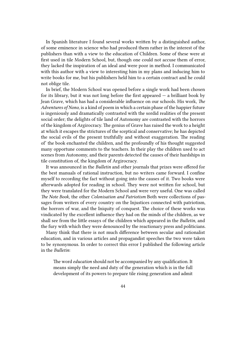In Spanish literature I found several works written by a distinguished author, of some eminence in science who had produced them rather in the interest of the publishers than with a view to the education of Children. Some of these were at first used in tile Modern School, but, though one could not accuse them of error, they lacked the inspiration of an ideal and were poor in method. I communicated with this author with a view to interesting him in my plans and inducing him to write books for me, but his publishers held him to a certain contract and he could not oblige tile.

In brief, the Modern School was opened before a single work had been chosen for its library, but it was not long before the first appeared  $-$  a brilliant book by Jean Grave, which has had a considerable influence on our schools. His work, *The Adventures of Nono*, is a kind of poem in which a certain phase of the happier future is ingeniously and dramatically contrasted with the sordid realities of the present social order; the delights of tile land of Autonomy are contrasted with the horrors of the kingdom of Argirocracy. The genius of Grave has raised the work to a height at which it escapes the strictures of the sceptical and conservative; he has depicted the social evils of the present truthfully and without exaggeration. The reading of' the book enchanted the children, and the profoundly of his thought suggested many opportune comments to the teachers. In their play the children used to act scenes from Autonomy, and their parents detected the causes of their hardships in tile constitution of, the kingdom of Argirocracy.

It was announced in the *Bulletin* and other journals that prizes were offered for the best manuals of rational instruction, but no writers came forward. I confine myself to recording the fact without going into the causes of it. Two books were afterwards adopted for reading in school. They were not written for school, but they were translated for the Modern School and were very useful. One was called *The Note Book*, the other *Colonisation and Patriotism* Both were collections of passages from writers of every country on the Injustices connected with patriotism, the horrors of war, and the Iniquity of conquest. The choice of these works was vindicated by the excellent influence they had on the minds of the children, as we shall see from the little essays of the children which appeared in the *Bulletin*, and the fury with which they were denounced by the reactionary press and politicians.

Many think that there is not much difference between secular and rationalist education, and in various articles and propagandist speeches the two were taken to be synonymous. In order to correct this error I published the following article in the *Bulletin*:

The word *education* should not be accompanied by any qualification. It means simply the need and duty of the generation which is in the full development of its powers to prepare tile rising generation and admit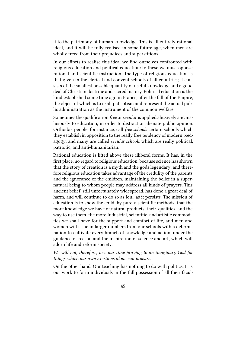it to the patrimony of human knowledge. This is all entirely rational ideal, and it will be fully realised in some future age, when men are wholly freed from their prejudices and superstitions.

In our efforts to realise this ideal we find ourselves confronted with religious education and political education: to these we must oppose rational and scientific instruction. The type of religious education is that given in the clerical and convent schools of all countries; it consists of the smallest possible quantity of useful knowledge and a good deal of Christian doctrine and sacred history. Political education is the kind established some time ago in France, after the fall of the Empire, the object of which is to exalt patriotism and represent the actual public administration as the instrument of the common welfare.

Sometimes the qualification *free* or*secular* is applied abusively and maliciously to education, in order to distract or alienate public opinion. Orthodox people, for instance, call *free schools* certain schools which they establish in opposition to the really free tendency of modern pædagogy; and many are called *secular schools* which are really political, patriotic, and anti-humanitarian.

Rational education is lifted above these illiberal forms. It has, in the first place, no regard to religious education, because science has shown that the story of creation is a myth and the gods legendary; and therefore religious education takes advantage of the credulity of the parents and the ignorance of the children, maintaining the belief in a supernatural being to whom people may address all kinds of prayers. This ancient belief, still unfortunately widespread, has done a great deal of harm, and will continue to do so as Ion,, as it persists. The mission of education is to show the child, by purely scientific methods, that the more knowledge we have of natural products, their. qualities, and the way to use them, the more Industrial, scientific, and artistic commodities we shall have for the support and comfort of life, and men and women will issue in larger numbers from our schools with a determination to cultivate every branch of knowledge and action, under the guidance of reason and the inspiration of science and art, which will adorn life and reform society.

*We will not, therefore, lose our time praying to an imaginary God for things which our awn exertions alone can procure.*

On the other hand, Our teaching has nothing to do with politics. It is our work to form individuals in the full possession of all their facul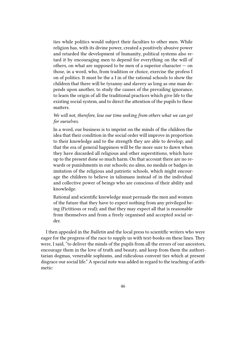ties while politics would subject their faculties to other men. While religion has, with its divine power, created a positively abusive power and retarded the development of humanity, political systems also retard it by encouraging men to depend for everything on the will of others, on what are supposed to be men of a superior character  $-$  on those, in a word, who, from tradition or choice, exercise the profess I on of politics. It must be the a I in of the rational schools to show the children that there will be tyranny and slavery as long as one man depends upon another, to study the causes of the prevailing ignorance, to learn the origin of all the traditional practices which give life to the existing social system, and to direct the attention of the pupils to these matters.

#### *We will not, therefore, lose our time seeking from others what we can get for ourselves.*

In a word, our business is to imprint on the minds of the children the idea that their condition in the social order will improve in proportion to their knowledge and to the strength they are able to develop; and that the era of general happiness will be the more sure to dawn when they have discarded all religious and other superstitions, which have up to the present done so much harm. On that account there are no rewards or punishments in our schools; no alms, no medals or badges in imitation of the religious and patriotic schools, which might encourage the children to believe in talismans instead of in the individual and collective power of beings who are conscious of their ability and knowledge.

Rational and scientific knowledge must persuade the men and women of the future that they have to expect nothing from any privileged being (Fictitious or real); and that they may expect all that is reasonable from themselves and from a freely organised and accepted social order.

I then appealed in the *Bulletin* and the local press to scientific writers who were eager for the progress of the race to supply us with text-books on these lines. They were, I said, "to deliver the minds of the pupils from all the errors of our ancestors, encourage them in the love of truth and beauty, and keep from them the authoritarian dogmas, venerable sophisms, and ridiculous convent ties which at present disgrace our social life." A special note was added in regard to the teaching of arithmetic: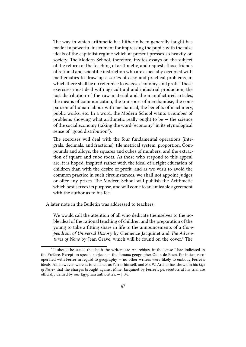The way in which arithmetic has hitherto been generally taught has made it a powerful instrument for impressing the pupils with the false ideals of the capitalist regime which at present presses so heavily on society. The Modern School, therefore, invites essays on the subject of the reform of the teaching of arithmetic, and requests those friends of rational and scientific instruction who are especially occupied with mathematics to draw up a series of easy and practical problems, in which there shall be no reference to wages, economy, and profit. These exercises must deal with agricultural and industrial production, the just distribution of the raw material and the manufactured articles, the means of communication, the transport of merchandise, the comparison of human labour with mechanical, the benefits of machinery, public works, etc. In a word, the Modern School wants a number of problems showing what arithmetic really ought to be  $-$  the science of the social economy (taking the word "economy" in its etymological sense of "good distribution").

The exercises will deal with the four fundamental operations (integrals, decimals, and fractions), tile metrical system, proportion, Compounds and alloys, the squares and cubes of numbers, and the extraction of square and cube roots. As those who respond to this appeal are, it is hoped, inspired rather with the ideal of a right education of children than with the desire of profit, and as we wish to avoid the common practice in such circumstances, we shall not appoint judges or offer any prizes. The Modern School will publish the Arithmetic which best serves its purpose, and will come to an amicable agreement with the author as to his fee.

A later note in the Bulletin was addressed to teachers:

We would call the attention of all who dedicate themselves to the noble ideal of the rational teaching of children and the preparation of the young to take a fitting share in life to the announcements of a *Compendium of Universal History* by Clemence Jacquinet and *The Adventures of Nono* by Jean Grave, which will be found on the cover.<sup>1</sup> The

<sup>&</sup>lt;sup>1</sup> It should be stated that both the writers are Anarchists, in the sense I hae indicated in the Preface. Except on special subjects — the famous geographer Odon de Buen, for instance cooperated with Ferrer in regard to geography — no other writers were likely to embody Ferrer's ideals. All, however, were as to violence as Ferrer himself, and Mr. W. Archer has shown in his *Life of Ferrer* that the charges brought against Mme. Jacquinet by Ferrer's persecutors at his trial are officially denied by our Egyptian authorities. — J. M.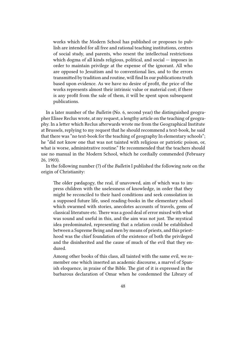works which the Modern School has published or proposes to publish are intended for all free and rational teaching institutions, centres of social study, and parents, who resent the intellectual restrictions which dogma of all kinds religious, political, and social — imposes in order to maintain privilege at the expense of the ignorant. All who are opposed to Jesuitism and to conventional lies, and to the errors transmitted by tradition and routine, will find In our publications truth based upon evidence. As we have no desire of profit, the price of the works represents almost their intrinsic value or material cost; if there is any profit from the sale of them, it will be spent upon subsequent publications.

In a later number of the *Bulletin* (No. 6, second year) the distinguished geographer Elisee Reclus wrote, at my request, a lengthy article on the teaching of geography. In a letter which Reclus afterwards wrote me from the Geographical Institute at Brussels, replying to my request that he should recommend a text-book, he said that there was "no text-book for the teaching of geography In elementary schools"; he "did not know one that was not tainted with religious or patriotic poison, or, what is worse, administrative routine." He recommended that the teachers should use no manual in the Modern School, which he cordially commended (February 26, 1903).

In the following number (7) of the *Bulletin* I published the following note on the origin of Christianity:

The older pædagogy, the real, if unavowed, aim of which was to impress children with the uselessness of knowledge, in order that they might be reconciled to their hard conditions and seek consolation in a supposed future life, used reading-books in the elementary school which swarmed with stories, anecdotes accounts of travels, gems of classical literature etc. There was a good deal of error mixed with what was sound and useful in this, and the aim was not just. The mystical idea predominated, representing that a relation could be established between a Supreme Being and men by means of priests, and this priesthood was the chief foundation of the existence of both the privileged and the disinherited and the cause of much of the evil that they endured.

Among other books of this class, all tainted with the same evil, we remember one which inserted an academic discourse, a marvel of Spanish eloquence, in praise of the Bible. The gist of it is expressed in the barbarous declaration of Omar when he condemned the Library of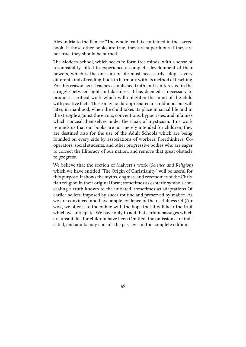Alexandria to the flames: "The whole truth is contained in the sacred book. If those other books are true, they are superfluous if they are not true, they should be burned."

The Modern School, which seeks to form free minds, with a sense of responsibility, fitted to experience a complete development of their powers, which is the one aim of life must necessarily adopt a very different kind of reading-book in harmony with its method of teaching. For this reason, as it teaches established truth and is interested in the struggle between light and darkness, it has deemed it necessary to produce a critical work which will enlighten the mind of the child with positive facts. These may not be appreciated in childhood, but will later, in manhood, when the child takes its place in social life and in the struggle against the errors, conventions, hypocrisies, and infamies which conceal themselves under the cloak of mysticism. This work reminds us that our books are not merely intended for children; they are destined also for the use of the Adult Schools which are being founded on every side by associations of workers, Freethinkers, Cooperators, social students, and other progressive bodies who are eager to correct the Illiteracy of our nation, and remove that great obstacle to progress.

We believe that the section of Malvert's work (*Science and Religion*) which we have entitled "The Origin of Christianity" will be useful for this purpose. It shows the myths, dogmas, and ceremonies of the Christian religion In their original form; sometimes as esoteric symbols concealing a truth known to the initiated, sometimes as adaptations Of earlier beliefs, imposed by sheer routine and preserved by malice. As we are convinced and have ample evidence of the usefulness Of (Air wok, we offer it to the public with the hope that It will bear the fruit which we anticipate. We have only to add that certain passages which are unsuitable for children have been Omitted; the omissions are indicated, and adults may consult the passages in the complete edition.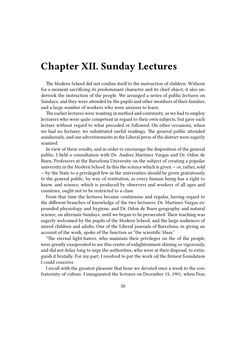### **Chapter XII. Sunday Lectures**

The Modern School did not confine itself to the instruction of children. Without for a moment sacrificing its predominant character and its chief object, it also undertook the instruction of the people. We arranged a series of public lectures on Sundays, and they were attended by the pupils and other members of their families, and a large number of workers who were anxious to learn.

The earlier lectures were wanting in method and continuity, as we had to employ lecturers who were quite competent in regard to their own subjects, but gave each lecture without regard to what preceded or followed. On other occasions, when we had no lecturer, we substituted useful readings. The general public attended assiduously, and our advertisements in the Liberal press of the district were eagerly scanned.

In view of these results, and in order to encourage the disposition of the general public, I held a consultation with Dr. Andres Martinez Vargas and Dr. Odon de Buen, Professors at the Barcelona University on the subject of creating a popular university in the Modern School. In this the science which is given  $-$  or, rather, sold — by the State to a privileged few in the universities should be given gratuitously to the general public, by way of restitution, as every human being has a right to know, and science, which is produced by observers and workers of all ages and countries, ought not to be restricted to a class.

From that time the lectures became continuous and regular, having regard to the different branches of knowledge of the two lecturers. Dr. Martinez Vargas expounded physiology and hygiene, and Dr. Odon de Buen geography and natural science, on alternate Sundays, until we began to be persecuted. Their teaching was eagerly welcomed by the pupils of the Modern School, and the large audiences of mixed children and adults. One of the Liberal journals of Barcelona, in giving an account of the work, spoke of the function as "the scientific Mass."

"The eternal light-haters, who maintain their privileges on the of the people, were greatly exasperated to see this centre of enlightenment shining so vigorously, and did not delay long to urge the authorities, who were at their disposal, to extinguish it brutally. For my part, I resolved to put the work oil the firmest foundation I could conceive.

I recall with the greatest pleasure that hour we devoted once a week to the confraternity of culture. I inaugurated the lectures on December 15, 1901, when Don.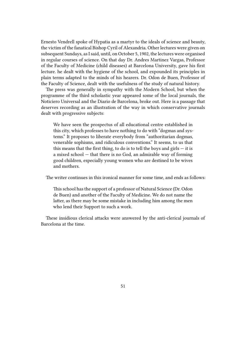Ernesto Vendrell spoke of Hypatia as a martyr to the ideals of science and beauty, the victim of the fanatical Bishop Cyril of Alexandria. Other lectures were given on subsequent Sundays, as I said, until, on October 5, 1902, the lectures were organised in regular courses of science. On that day Dr. Andres Martinez Vargas, Professor of the Faculty of Medicine (child diseases) at Barcelona University, gave his first lecture. he dealt with the hygiene of the school, and expounded its principles in plain terms adapted to the minds of his hearers. Dr. Odon de Buen, Professor of the Faculty of Science, dealt with the usefulness of the study of natural history.

The press was generally in sympathy with the Modern School, but when the programme of the third scholastic year appeared some of the local journals, the Noticiero Universal and the Diario de Barcelona, broke out. Here is a passage that deserves recording as an illustration of the way in which conservative journals dealt with progressive subjects:

We have seen the prospectus of all educational centre established in this city, which professes to have nothing to do with "dogmas and systems." It proposes to liberate everybody from "authoritarian dogmas, venerable sophisms, and ridiculous conventions." It seems, to us that this means that the first thing, to do is to tell the boys and girls  $-$  it is a mixed school — that there is no God, an admirable way of forming good children, especially young women who are destined to be wives and mothers.

The writer continues in this ironical manner for some time, and ends as follows:

This school has the support of a professor of Natural Science (Dr. Odon de Buen) and another of the Faculty of Medicine. We do not name the latter, as there may be some mistake in including him among the men who lend their Support to such a work.

These insidious clerical attacks were answered by the anti-clerical journals of Barcelona at the time.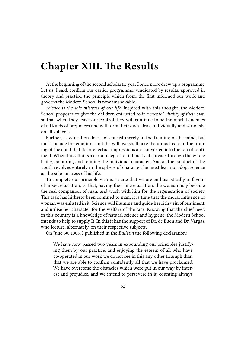## **Chapter XIII. The Results**

At the beginning of the second scholastic year I once more drew up a programme. Let us, I said, confirm our earlier programme; vindicated by results, approved in theory and practice, the principle which from. the first informed our work and governs the Modern School is now unshakable.

*Science is the sole mistress of our life.* Inspired with this thought, the Modern School proposes to give the children entrusted to it *a mental vitality of their own,* so that when they leave our control they will continue to be the mortal enemies of all kinds of prejudices and will form their own ideas, individually and seriously, on all subjects.

Further, as education does not consist merely in the training of the mind, but must include the emotions and the will, we shall take the utmost care in the training of the child that its intellectual impressions are converted into the sap of sentiment. When this attains a certain degree of intensity, it spreads through the whole being, colouring and refining the individual character. And as the conduct of the youth revolves entirely in the sphere of character, he must learn to adopt science as the sole mistress of his life.

To complete our principle we must state that we are enthusiastically in favour of mixed education, so that, having the same education, the woman may become the real companion of man, and work with him for the regeneration of society. This task has hitherto been confined to man; it is time that the moral influence of woman was enlisted in it. Science will illumine and guide her rich vein of sentiment, and utilise her character for the welfare of the race. Knowing that the chief need in this country is a knowledge of natural science and hygiene, the Modern School intends to help to supply It. In this it has the support of Dr. de Buen and Dr. Vargas, who lecture, alternately, on their respective subjects.

On June 30, 1903, I published in the *Bulletin* the following declaration:

We have now passed two years in expounding our principles justifying them by our practice, and enjoying the esteem of all who have co-operated in our work we do not see in this any other triumph than that we are able to confirm confidently all that we have proclaimed. We have overcome the obstacles which were put in our way by interest and prejudice, and we intend to persevere in it, counting always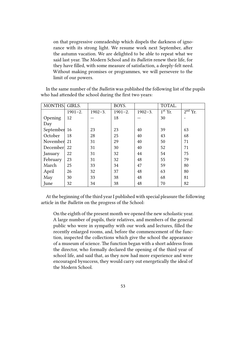on that progressive comradeship which dispels the darkness of ignorance with its strong light. We resume work next September, after the autumn vacation. We are delighted to be able to repeat what we said last year. The Modern School and its *Bulletin* renew their life, for they have filled, with some measure of satisfaction, a deeply-felt need. Without making promises or programmes, we will persevere to the limit of our powers.

In the same number of the *Bulletin* was published the following list of the pupils who had attended the school during the first two years:

| <b>MONTHS.</b> | GIRLS.      |             | BOYS.       |             | TOTAL.    |                          |
|----------------|-------------|-------------|-------------|-------------|-----------|--------------------------|
|                | $1901 - 2.$ | $1902 - 3.$ | $1901 - 2.$ | $1902 - 3.$ | $1st$ Yr. | $\overline{2^{nd} Yr}$ . |
| Opening        | 12          |             | 18          |             | 30        |                          |
| Day            |             |             |             |             |           |                          |
| September 16   |             | 23          | 23          | 40          | 39        | 63                       |
| October        | 18          | 28          | 25          | 40          | 43        | 68                       |
| November       | 21          | 31          | 29          | 40          | 50        | 71                       |
| December       | 22          | 31          | 30          | 40          | 52        | 71                       |
| January        | 22          | 31          | 32          | 44          | 54        | 75                       |
| February       | 23          | 31          | 32          | 48          | 55        | 79                       |
| March          | 25          | 33          | 34          | 47          | 59        | 80                       |
| April          | 26          | 32          | 37          | 48          | 63        | 80                       |
| May            | 30          | 33          | 38          | 48          | 68        | 81                       |
| June           | 32          | 34          | 38          | 48          | 70        | 82                       |

At the beginning of the third year I published with special pleasure the following article in the *Bulletin* on the progress of the School:

On the eighth of the present month we opened the new scholastic year. A large number of pupils, their relatives, and members of the general public who were in sympathy with our work and lectures, filled the recently enlarged rooms, and, before the commencement of the function, inspected the collections which give the school the appearance of a museum of science. The function began with a short address from the director, who formally declared the opening of the third year of school life, and said that, as they now had more experience and were encouraged bysuccess, they would carry out energetically the ideal of the Modern School.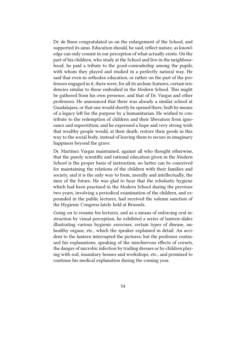Dr. de Buen congratulated us on the enlargement of the School, and supported its aims. Education should, he said, reflect nature, as knowledge can only consist in our perception of what actually exists. On the part of his children, who study at the School and live in the neighbourhood, he paid a tribute to the good-comradeship among the pupils, with whom they played and studied in a perfectly natural way. He said that even in orthodox education, or rather on the part of the professors engaged in it, there were, for all its archaic features, certain tendencies similar to those embodied in the Modern School. This might be gathered from his own presence, and that of Dr. Vargas and other professors. He announced that there was already a similar school at Guadalajara, or that one would shortly be opened there, built by means of a legacy left for the purpose by a humanitarian. He wished to contribute to the redemption of children and their liberation from ignorance and superstition; and he expressed a hope and very strong wish that wealthy people would, at their death, restore their goods in this way to the social body, instead of leaving them to secure in imaginary happiness beyond the grave.

Dr. Martinez Vargas maintained, against all who thought otherwise, that the purely scientific and rational education given in the Modern School is the proper basis of instruction; no better can be conceived for maintaining the relations of the children with their families and society, and it is the only way to form, morally and intellectually, the men of the future. He was glad to hear that the scholastic hygiene which had been practised in the Modern School during the previous two years, involving a periodical examination of the children, and expounded in the public lectures, had received the solemn sanction of the Hygienic Congress lately held at Brussels.

Going on to resume his lectures, and as a means of enforcing oral instruction by visual perception, he exhibited a series of lantern-slides illustrating various hygienic exercises, certain types of disease, unhealthy organs, etc., which the speaker explained in detail. An accident to the lantern interrupted the pictures; but the professor continued his explanations, speaking of the mischievous effects of corsets, the danger of microbic infection by trailing dresses or by children playing with soil, insanitary houses and workshops, etc., and promised to continue his medical explanation during the coming year.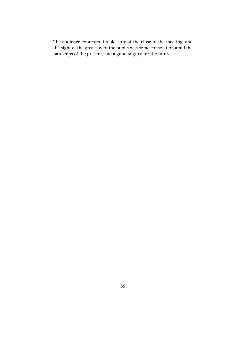The audience expressed its pleasure at the close of the meeting, and the sight of the great joy of the pupils was some consolation amid the hardships of the present, and a good augury for the future.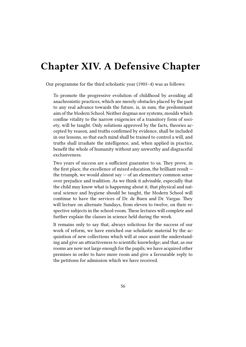## **Chapter XIV. A Defensive Chapter**

Our programme for the third scholastic year (1903–4) was as follows:

To promote the progressive evolution of childhood by avoiding all anachronistic practices, which are merely obstacles placed by the past to any real advance towards the future, is, in sum, the predominant aim of the Modern School. Neither dogmas nor systems, moulds which confine vitality to the narrow exigencies of a transitory form of society, will be taught. Only solutions approved by the facts, theories accepted by reason, and truths confirmed by evidence, shall be included in our lessons, so that each mind shall be trained to control a will, and truths shall irradiate the intelligence, and, when applied in practice, benefit the whole of humanity without any unworthy and disgraceful exclusiveness.

Two years of success are a sufficient guarantee to us. They prove, in the first place, the excellence of mixed education, the brilliant result the triumph, we would almost say  $-$  of an elementary common sense over prejudice and tradition. As we think it advisable, especially that the child may know what is happening about it, that physical and natural science and hygiene should be taught, the Modern School will continue to have the services of Dr. de Buen and Dr. Vargas. They will lecture on alternate Sundays, from eleven to twelve, on their respective subjects in the school-room. These lectures will complete and further explain the classes in science held during the week.

It remains only to say that, always solicitous for the success of our work of reform, we have enriched our scholastic material by the acquisition of new collections which will at once assist the understanding and give an attractiveness to scientific knowledge; and that, as our rooms are now not large enough for the pupils, we have acquired other premises in order to have more room and give a favourable reply to the petitions for admission which we have received.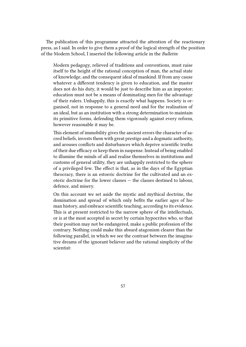The publication of this programme attracted the attention of the reactionary press, as I said. In order to give them a proof of the logical strength of the position of the Modern School, I inserted the following article in the *Bulletin*:

Modern pedagogy, relieved of traditions and conventions, must raise itself to the height of the rational conception of man, the actual state of knowledge, and the consequent ideal of mankind. If from any cause whatever a different tendency is given to education, and the master does not do his duty, it would be just to describe him as an impostor; education must not be a means of dominating men for the advantage of their rulers. Unhappily, this is exactly what happens. Society is organised, not in response to a general need and for the realisation of an ideal, but as an institution with a strong determination to maintain its primitive forms, defending them vigorously against every reform, however reasonable it may be.

This element of immobility gives the ancient errors the character of sacred beliefs, invests them with great prestige and a dogmatic authority, and arouses conflicts and disturbances which deprive scientific truths of their due efficacy or keep them in suspense. Instead of being enabled to illumine the minds of all and realise themselves in institutions and customs of general utility, they are unhappily restricted to the sphere of a privileged few. The effect is that, as in the days of the Egyptian theocracy, there is an estoeric doctrine for the cultivated and an exoteric doctrine for the lower classes — the classes destined to labour, defence, and misery.

On this account we set aside the mystic and mythical doctrine, the domination and spread of which only befits the earlier ages of human history, and embrace scientific teaching, according to its evidence. This is at present restricted to the narrow sphere of the intellectuals, or is at the most accepted in secret by certain hypocrites who, so that their position may not be endangered, make a public profession of the contrary. Nothing could make this absurd atagonism clearer than the following parallel, in which we see the contrast between the imaginative dreams of the ignorant believer and the rational simplicity of the scientist: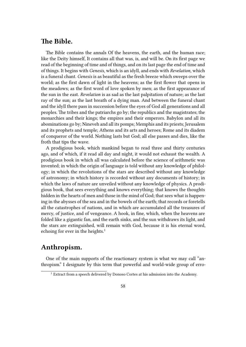### **The Bible.**

The Bible contains the annals Of the heavens, the earth, and the human race; like the Deity himself, It contains all that was, is, and will be. On its first page we read of the beginning of time and of things, and on its last page the end of time and of things. It begins with *Genesis*, which is an idyll, and ends with *Revelation,* which is a funeral chant. *Genesis* is as beautiful as the fresh breeze which sweeps over the world; as the first dawn of light in the heavens; as the first flower that opens in the meadows; as the first word of love spoken by men; as the first appearance of the sun in the east. *Revelation* is as sad as the last palpitation of nature; as the last ray of the sun; as the last breath of a dying man. And between the funeral chant and the idyll there pass in succession before the eyes of God all generations and all peoples. The tribes and the patriarchs go by; the republics and the magistrates; the monarchies and their kings; the empires and their emperors. Babylon and all its abominations go by; Nineveh and all its pomps; Memphis and its priests; Jerusalem and its prophets and temple; Athens and its arts and heroes; Rome and its diadem of conqueror of the world. Nothing lasts but God; all else passes and dies, like the froth that tips the wave.

A prodigious book, which mankind began to read three and thirty centuries ago, and of which, if it read all day and night, it would not exhaust the wealth. A prodigious book in which all was calculated before the science of arithmetic was invented; in which the origin of language is told without any knowledge of philology; in which the revolutions of the stars are described without any knowledge of astronomy; in which history is recorded without any documents of history; in which the laws of nature are unveiled without any knowledge of physics. A prodigious book, that sees everything and knows everything; that knows the thoughts hidden in the hearts of men and those in the mind of God; that sees what is happening in the abysses of the sea and in the bowels of the earth; that records or foretells all the catastrophes of nations, and in which are accumulated all the treasures of mercy, of justice, and of vengeance. A hook, in fine, which, when the heavens are folded like a gigantic fan, and the earth sinks, and the sun withdraws its light, and the stars are extinguished, will remain with God, because it is his eternal word, echoing for ever in the heights.<sup>1</sup>

### **Anthropism.**

One of the main supports of the reactionary system is what we may call "anthropism." I designate by this term that powerful and world-wide group of erro-

<sup>&</sup>lt;sup>1</sup> Extract from a speech delivered by Donoso Cortes at his admission into the Academy.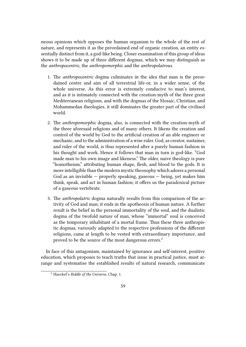neous opinions which opposes the human organism to the whole of the rest of nature, and represents it as the preordained end of organic creation, an entity essentially distinct from it, a god-like being. Closer examination of this group of ideas shows it to be made up of three different dogmas, which we may distinguish as the *anthropocentric*, the *anthropomorphic* and the *anthropolatrous*.

- 1. The *anthropocentric* dogma culminates in the idea that man is the preordained centre and aim of all terrestrial life-or, in a wider sense, of the whole universe. As this error is extremely conducive to man's interest, and as it is intimately connected with the creation-myth of the three great Mediterranean religions, and with the dogmas of the Mosaic, Christian, and Mohammedan theologies, it still dominates the greater part of the civilised world.
- 2. The *anthropomorphic* dogma, also, is connected with the creation-myth of the three aforesaid religions and of many others. It likens the creation and control of the world by God to the artificial creation of an able engineer or mechanic, and to the administration of a wise ruler. God, as creator, sustainer, and ruler of the world, is thus represented after a purely human fashion in his thought and work. Hence it follows that man in turn is god-like. "God made man to his own image and likeness." The older, naive theology is pure "homotheism," attributing human shape, flesh, and blood to the gods. It is more intelligible than the modern mystic theosophy which adores a personal God as an invisible  $-$  properly speaking, gaseous  $-$  being, yet makes him think, speak, and act in human fashion; it offers us the paradoxical picture of a gaseous vertebrate.
- 3. The *anthropolatric* dogma naturally results from this comparison of the activity of God and man; it ends in the apotheosis of human nature. A further result is the belief in the personal immortality of the soul, and the dualistic dogma of the twofold nature of man, whose "immortal" soul is conceived as the temporary inhabitant of a mortal frame. Thus these three anthropistic dogmas, variously adapted to the respective professions of the different religions, came at length to be vested with extraordinary importance, and proved to be the source of the most dangerous errors.<sup>2</sup>

In face of this antagonism, maintained by ignorance and self-interest, positive education, which proposes to teach truths that issue in practical justice, must arrange and systematise the established results of natural research, communicate

<sup>2</sup> Haeckel's *Riddle of the Universe*, Chap. 1.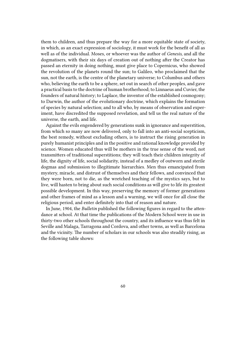them to children, and thus prepare the way for a more equitable state of society, in which, as an exact expression of sociology, it must work for the benefit of all as well as of the individual. Moses, or whoever was the author of *Genesis*, and all the dogmatisers, with their six days of creation out of nothing after the Creator has passed an eternity in doing nothing, must give place to Copernicus, who showed the revolution of the planets round the sun; to Galileo, who proclaimed that the sun, not the earth, is the centre of the planetary universe; to Columbus and others who, believing the earth to be a sphere, set out in search of other peoples, and gave a practical basis to the doctrine of human brotherhood; to Linnaeus and Cuvier, the founders of natural history; to Laplace, the inventor of the established cosmogony; to Darwin, the author of the evolutionary doctrine, which explains the formation of species by natural selection; and to all who, by means of observation and experiment, have discredited the supposed revelation, and tell us the real nature of the universe, the earth, and life.

Against the evils engendered by generations sunk in ignorance and superstition, from which so many are now delivered, only to fall into an anti-social scepticism, the best remedy, without excluding others, is to instruct the rising generation in purely humanist principles and in the positive and rational knowledge provided by science. Women educated thus will be mothers in the true sense of the word, not transmitters of traditional superstitions; they will teach their children integrity of life, the dignity of life, social solidarity, instead of a medley of outworn and sterile dogmas and submission to illegitimate hierarchies. Men thus emancipated from mystery, miracle, and distrust of themselves and their fellows, and convinced that they were born, not to die, as the wretched teaching of the mystics says, but to live, will hasten to bring about such social conditions as will give to life its greatest possible development. In this way, preserving the memory of former generations and other frames of mind as a lesson and a warning, we will once for all close the religious period, and enter definitely into that of reason and nature.

In June, 1904, the *Bulletin* published the following figures in regard to the attendance at school. At that time the publications of the Modern School were in use in thirty-two other schools throughout the country, and its influence was thus felt in Seville and Malaga, Tarragona and Cordova, and other towns, as well as Barcelona and the vicinity. The number of scholars in our schools was also steadily rising, as the following table shows: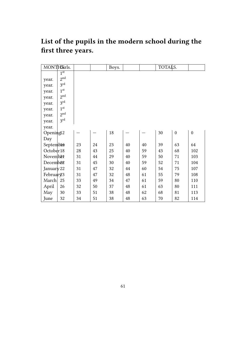### **List of the pupils in the modern school during the first three years.**

| MONTHSirls.           |                 |    |    | Boys. |    |    | TOTALS. |                  |                  |
|-----------------------|-----------------|----|----|-------|----|----|---------|------------------|------------------|
|                       | 1 <sup>st</sup> |    |    |       |    |    |         |                  |                  |
| year.                 | 2 <sup>nd</sup> |    |    |       |    |    |         |                  |                  |
| year.                 | 3 <sup>rd</sup> |    |    |       |    |    |         |                  |                  |
| year.                 | 1 <sup>st</sup> |    |    |       |    |    |         |                  |                  |
| year.                 | 2 <sup>nd</sup> |    |    |       |    |    |         |                  |                  |
| year.                 | $3^{\text{rd}}$ |    |    |       |    |    |         |                  |                  |
| year.                 | 1 <sup>st</sup> |    |    |       |    |    |         |                  |                  |
| year.                 | 2 <sub>nd</sub> |    |    |       |    |    |         |                  |                  |
| year.                 | 3 <sup>rd</sup> |    |    |       |    |    |         |                  |                  |
| year.                 |                 |    |    |       |    |    |         |                  |                  |
| Opening12             |                 |    |    | 18    |    |    | 30      | $\boldsymbol{0}$ | $\boldsymbol{0}$ |
| Day                   |                 |    |    |       |    |    |         |                  |                  |
| Septembler            |                 | 23 | 24 | 23    | 40 | 40 | 39      | 63               | 64               |
| October 18            |                 | 28 | 43 | 25    | 40 | 59 | 43      | 68               | 102              |
| Novemb <sub>21</sub>  |                 | 31 | 44 | 29    | 40 | 59 | 50      | 71               | 103              |
| Decemb <sup>22</sup>  |                 | 31 | 45 | 30    | 40 | 59 | 52      | 71               | 104              |
| January 22            |                 | 31 | 47 | 32    | 44 | 60 | 54      | 75               | 107              |
| Februar <sub>23</sub> |                 | 31 | 47 | 32    | 48 | 61 | 55      | 79               | 108              |
| March                 | 25              | 33 | 49 | 34    | 47 | 61 | 59      | 80               | 110              |
| April                 | 26              | 32 | 50 | 37    | 48 | 61 | 63      | 80               | 111              |
| May                   | 30              | 33 | 51 | 38    | 48 | 62 | 68      | 81               | 113              |
| June                  | 32              | 34 | 51 | 38    | 48 | 63 | 70      | 82               | 114              |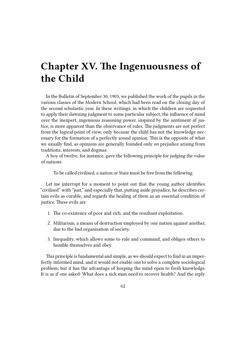# **Chapter XV. The Ingenuousness of the Child**

In the Bulletin of September 30, 1903, we published the work of the pupils in the various classes of the Modern School, which had been read on the closing day of the second scholastic year. In these writings, in which the children are requested to apply their dawning judgment to some particular subject, the influence of mind over the inexpert, ingenuous reasoning power, inspired by the sentiment of justice, is more apparent than the observance of rules. The judgments are not perfect from the logical point of view, only because the child has not the knowledge necessary for the formation of a perfectly sound opinion. This is the opposite of what we usually find, as opinions are generally founded only on prejudice arising from traditions, interests, and dogmas.

A boy of twelve, for instance, gave the following principle for judging the value of nations:

To be called civilised, a nation or State must be free from the following

Let me interrupt for a moment to point out that the young author identifies "civilised" with "just," and especially that, putting aside prejudice, he describes certain evils as curable, and regards the healing of them as an essential condition of justice. These evils are

- 1. The co-existence of poor and rich, and the resultant exploitation.
- 2. Militarism, a means of destruction employed by one nation against another, due to the bad organisation of society.
- 3. Inequality, which allows some to rule and command, and obliges others to humble themselves and obey.

This principle is fundamental and simple, as we should expect to find in an imperfectly informed mind, and it would not enable one to solve a complete sociological problem; but it has the advantage of keeping the mind open to fresh knowledge. It is as if one asked: What does a sick man need to recover health? And the reply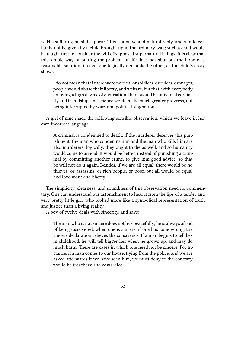is: His suffering must disappear. This is a naive and natural reply, and would certainly not be given by a child brought up in the ordinary way; such a child would be taught first to consider the will of supposed supernatural beings. It is clear that this simple way of putting the problem of life does not shut out the hope of a reasonable solution; indeed, one logically demands the other, as the child's essay shows:

I do not mean that if there were no rich, or soldiers, or rulers, or wages, people would abuse their liberty, and welfare, but that, with everybody enjoying a high degree of civilisation, there would be universal cordiality and friendship, and science would make much greater progress, not being interrupted by wars and political stagnation.

A girl of nine made the following sensible observation, which we leave in her own incorrect language:

A criminal is condemned to death; if the murderer deserves this punishment, the man who condemns him and the man who kills him are also murderers; logically, they ought to die as well, and so humanity would come to an end. It would be better, instead of punishing a criminal by committing another crime, to give him good advice, so that be will not do it again. Besides, if we are all equal, there would be no thieves, or assassins, or rich people, or poor, but all would be equal and love work and liberty.

The simplicity, clearness, and soundness of this observation need no commentary. One can understand our astonishment to hear it from the lips of a tender and very pretty little girl, who looked more like a symbolical representation of truth and justice than a living reality.

A boy of twelve deals with sincerity, and says:

The man who is not sincere does not live peacefully; he is always afraid of being discovered: when one is sincere, if one has done wrong, the sincere declaration relieves the conscience. If a man begins to tell lies in childhood, he will tell bigger lies when he grows up, and may do much harm. There are cases in which one need not be sincere. For instance, if a man comes to our house, flying from the police, and we are asked afterwards if we have seen him, we must deny it; the contrary would be treachery and cowardice.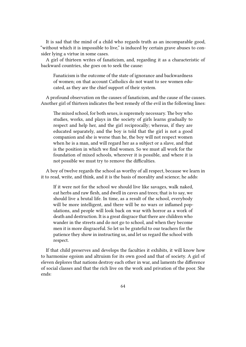It is sad that the mind of a child who regards truth as an incomparable good, "without which it is impossible to live," is induced by certain grave abuses to consider lying a virtue in some cases.

A girl of thirteen writes of fanaticism, and, regarding it as a characteristic of backward countries, she goes on to seek the cause:

Fanaticism is the outcome of the state of ignorance and backwardness of women; on that account Catholics do not want to see women educated, as they are the chief support of their system.

A profound observation on the causes of fanaticism, and the cause of the causes. Another girl of thirteen indicates the best remedy of the evil in the following lines:

The mixed school, for both sexes, is supremely necessary. The boy who studies, works, and plays in the society of girls learns gradually to respect and help her, and the girl reciprocally; whereas, if they are educated separately, and the boy is told that the girl is not a good companion and she is worse than he, the boy will not respect women when he is a man, and will regard her as a subject or a slave, and that is the position in which we find women. So we must all work for the foundation of mixed schools, wherever it is possible, and where it is not possible we must try to remove the difficulties.

A boy of twelve regards the school as worthy of all respect, because we learn in it to read, write, and think, and it is the basis of morality and science; he adds:

If it were not for the school we should live like savages, walk naked, eat herbs and raw flesh, and dwell in caves and trees; that is to say, we should live a brutal life. In time, as a result of the school, everybody will be more intelligent, and there will be no wars or inflamed populations, and people will look back on war with horror as a work of death and destruction. It is a great disgrace that there are children who wander in the streets and do not go to school, and when they become men it is more disgraceful. So let us be grateful to our teachers for the patience they show in instructing us, and let us regard the school with respect.

If that child preserves and develops the faculties it exhibits, it will know how to harmonise egoism and altruism for its own good and that of society. A girl of eleven deplores that nations destroy each other in war, and laments the difference of social classes and that the rich live on the work and privation of the poor. She ends: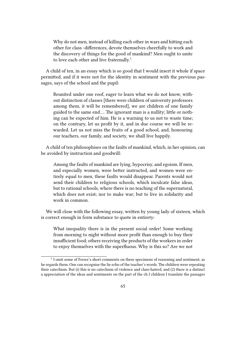Why do not men, instead of killing each other in wars and hitting each other for class -differences, devote themselves cheerfully to work and the discovery of things for the good of mankind? Men ought to unite to love each other and live fraternally.<sup>1</sup>

A child of ten, in an essay which is so good that I would insert it whole if space permitted, and if it were not for the identity in sentiment with the previous passages, says of the school and the pupil:

Reunited under one roof, eager to learn what we do not know, without distinction of classes [there were children of university professors among them, it will be remembered], we are children of one family guided to the same end…. The ignorant man is a nullity; little or nothing can be expected of him. He is a warning to us not to waste time; on the contrary, let us profit by it, and in due course we will be rewarded. Let us not miss the fruits of a good school, and, honouring our teachers, our family, and society, we shall live happily.

A child of ten philosophises on the faults of mankind, which, in her opinion, can be avoided by instruction and goodwill:

Among the faults of mankind are lying, hypocrisy, and egoism. If men, and especially women, were better instructed, and women were entirely equal to men, these faults would disappear. Parents would not send their children to religious schools, which inculcate false ideas, but to rational schools, where there is no teaching of the supernatural, which does not exist; nor to make war; but to live in solidarity and work in common.

We will close with the following essay, written by young lady of sixteen, which is correct enough in form substance to quote in entirety:

What inequality there is in the present social order! Some working from morning to night without more profit than enough to buy their insufficient food; others receiving the products of the workers in order to enjoy themselves with the superfluous. Why is this so? Are we not

 $<sup>1</sup>$  I omit some of Ferrer's short comments on these specimens of reasoning and sentiment, as</sup> he regards them. One can recognise the lie echo of the teacher's words. The children were repeating their catechism. But (i) this is no catechism of violence and class-hatred, and (2) there is a distinct a appreciation of the ideas and sentiments on the part of the ch I children I translate the passages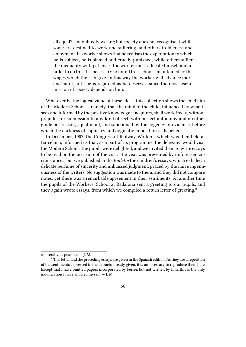all equal? Undoubtedly we are; but society does not recognise it while some are destined to work and suffering, and others to idleness and enjoyment. If a worker shows that he realises the exploitation to which he is subject, he is blamed and cruelly punished, while others suffer the inequality with patience. The worker must educate himself and in order to do this it is necessary to found free schools, maintained by the wages which the rich give. In this way the worker will advance more and more, until be is regarded as he deserves, since the most useful mission of society depends on him.

Whatever be the logical value of these ideas, this collection shows the chief aim of the Modern School — namely, that the mind of the child, influenced by what it sees and informed by the positive knowledge it acquires, shall work freely, without prejudice or submission to any kind of sect, with perfect autonomy and no other guide but reason, equal in all, and sanctioned by the cogency of evidence, before which the darkness of sophistry and dogmatic imposition is dispelled.

In December, 1903, the Congress of Railway Workers, which was then held at Barcelona, informed us that, as a part of its programme, the delegates would visit the Modern School. The pupils were delighted, and we invited them to write essays to be read on the occasion of the visit. The visit was prevented by unforeseen circumstances; but we published in the *Bulletin* the children's essays, which exhaled a delicate perfume of sincerity and unbiassed judgment, graced by the naive ingenuousness of the writers. No suggestion was made to them, and they did not compare notes, yet there was a remarkable agreement in their sentiments. At another time the pupils of the Workers' School at Badalona sent a greeting to our pupils, and they again wrote essays, from which we compiled a return letter of greeting.<sup>2</sup>

as literally as possible. — J. M.

 $2$  This letter and the preceding essays are given in the Spanish edition. As they are a repetition of the sentiments expressed in the extracts already given, it is unnecessary to reproduce them here. Except that I have omitted papers incorporated by Ferrer, but not written by him, this is the only modification I have allowed myself. — J. M.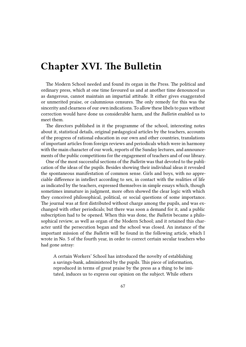### **Chapter XVI. The Bulletin**

The Modern School needed and found its organ in the Press. The political and ordinary press, which at one time favoured us and at another time denounced us as dangerous, cannot maintain an impartial attitude. It either gives exaggerated or unmerited praise, or calumnious censures. The only remedy for this was the sincerity and clearness of our own indications. To allow these libels to pass without correction would have done us considerable harm, and the *Bulletin* enabled us to meet them.

The directors published in it the programme of the school, interesting notes about it, statistical details, original pædagogical articles by the teachers, accounts of the progress of rational education in our own and other countries, translations of important articles from foreign reviews and periodicals which were in harmony with the main character of our work, reports of the Sunday lectures, and announcements of the public competitions for the engagement of teachers and of our library.

One of the most successful sections of the *Bulletin* was that devoted to the publication of the ideas of the pupils. Besides showing their individual ideas it revealed the spontaneous manifestation of common sense. Girls and boys, with no appreciable difference in intellect according to sex, in contact with the realities of life as indicated by the teachers, expressed themselves in simple essays which, though sometimes immature in judgment, more often showed the clear logic with which they conceived philosophical, political, or social questions of some importance. The journal was at first distributed without charge among the pupils, and was exchanged with other periodicals; but there was soon a demand for it, and a public subscription had to be opened. When this was done, the *Bulletin* became a philosophical review, as well as organ of the Modern School; and it retained this character until the persecution began and the school was closed. An instance of the important mission of the *Bulletin* will be found in the following article, which I wrote in No. 5 of the fourth year, in order to correct certain secular teachers who had gone astray:

A certain Workers' School has introduced the novelty of establishing a savings-bank, administered by the pupils. This piece of information, reproduced in terms of great praise by the press as a thing to be imitated, induces us to express our opinion on the subject. While others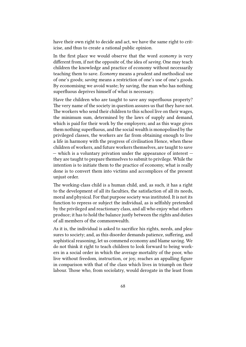have their own right to decide and act, we have the same right to criticise, and thus to create a rational public opinion.

In the first place we would observe that the word *economy* is very different from, if not the opposite of, the idea of *saving.* One may teach children the knowledge and practice of economy without necessarily teaching them to save. *Economy* means a prudent and methodical use of one's goods; *saving* means a restriction of one's use of one's goods. By economising we avoid waste; by saving, the man who has nothing superfluous deprives himself of what is necessary.

Have the children who are taught to save any superfluous property? The very name of the society in question assures us that they have not. The workers who send their children to this school live on their wages, the minimum sum, determined by the laws of supply and demand, which is paid for their work by the employers; and as this wage gives them nothing superfluous, and the social wealth is monopolised by the privileged classes, the workers are far from obtaining enough to live a life in harmony with the progress of civilisation Hence, when these children of workers, and future workers themselves, are taught to save  $-$  which is a voluntary privation under the appearance of interest  $$ they are taught to prepare themselves to submit to privilege. While the intention is to initiate them to the practice of economy, what is really done is to convert them into victims and accomplices of the present unjust order.

The working-class child is a human child, and, as such, it has a right to the development of all its faculties, the satisfaction of all its needs, moral and physical. For that purpose society was instituted. It is not its function to repress or subject the individual, as is selfishly pretended by the privileged and reactionary class, and all who enjoy what others produce; it has to hold the balance justly between the rights and duties of all members of the commonwealth.

As it is, the individual is asked to sacrifice his rights, needs, and pleasures to society; and, as this disorder demands patience, suffering, and sophistical reasoning, let us commend economy and blame saving. We do not think it right to teach children to look forward to being workers in a social order in which the average mortality of the poor, who live without freedom, instruction, or joy, reaches an appalling figure in comparison with that of the class which lives in triumph on their labour. Those who, from sociolatry, would derogate in the least from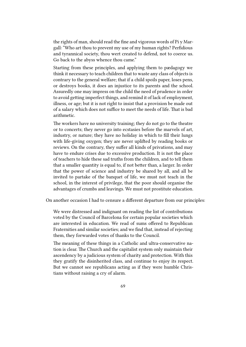the rights of man, should read the fine and vigorous words of Pi y Margall: "Who art thou to prevent my use of my human rights? Perfidious and tyrannical society, thou wert created to defend, not to coerce us. Go back to the abyss whence thou came."

Starting from these principles, and applying them to pædagogy we think it necessary to teach children that to waste any class of objects is contrary to the general welfare; that if a child spoils paper, loses pens, or destroys books, it does an injustice to its parents and the school. Assuredly one may impress on the child the need of prudence in order to avoid getting imperfect things, and remind it of lack of employment, illness, or age; but it is not right to insist that a provision be made out of a salary which does not suffice to meet the needs of life. That is bad arithmetic.

The workers have no university training; they do not go to the theatre or to concerts; they never go into ecstasies before the marvels of art, industry, or nature; they have no holiday in which to fill their lungs with life-giving oxygen; they are never uplifted by reading books or reviews. On the contrary, they suffer all kinds of privations, and may have to endure crises due to excessive production. It is not the place of teachers to hide these sad truths from the children, and to tell them that a smaller quantity is equal to, if not better than, a larger. In order that the power of science and industry be shared by all, and all be invited to partake of the banquet of life, we must not teach in the school, in the interest of privilege, that the poor should organise the advantages of crumbs and leavings. We must not prostitute education.

On another occasion I had to censure a different departure from our principles:

We were distressed and indignant on reading the list of contributions voted by the Council of BarceIona for certain popular societies which are interested in education. We read of sums offered to Republican Fraternities and similar societies; and we find that, instead of rejecting them, they forwarded votes of thanks to the Council.

The meaning of these things in a Catholic and ultra-conservative nation is clear. The Church and the capitalist system only maintain their ascendency by a judicious system of charity and protection. With this they gratify the disinherited class, and continue to enjoy its respect. But we cannot see republicans acting as if they were humble Christians without raising a cry of alarm.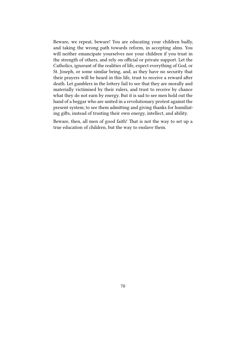Beware, we repeat, beware! You are educating your children badly, and taking the wrong path towards reform, in accepting alms. You will neither emancipate yourselves nor your children if you trust in the strength of others, and rely on official or private support. Let the Catholics, ignorant of the realities of life, expect everything of God, or St. Joseph, or some similar being, and, as they have no security that their prayers will be heard in this life, trust to receive a reward after death. Let gamblers in the lottery fail to see that they are morally and materially victimised by their rulers, and trust to receive by chance what they do not earn by energy. But it is sad to see men hold out the hand of a beggar who are united in a revolutionary protest against the present system; to see them admitting and giving thanks for humiliating gifts, instead of trusting their own energy, intellect, and ability.

Beware, then, all men of good faith! That is not the way to set up a true education of children, but the way to enslave them.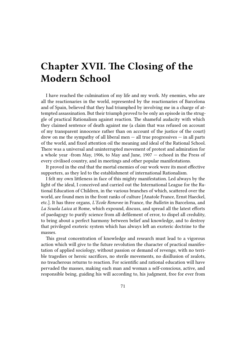# **Chapter XVII. The Closing of the Modern School**

I have reached the culmination of my life and my work. My enemies, who are all the reactionaries in the world, represented by the reactionaries of Barcelona and of Spain, believed that they had triumphed by involving me in a charge of attempted assassination. But their triumph proved to be only an episode in the struggle of practical Rationalism against reaction. The shameful audacity with which they claimed sentence of death against me (a claim that was refused on account of my transparent innocence rather than on account of the justice of the court) drew on me the sympathy of all liberal men  $-$  all true progressives  $-$  in all parts of the world, and fixed attention oil the meaning and ideal of the Rational School. There was a universal and uninterrupted movement of protest and admiration for a whole year -from May, 1906, to May and June, 1907 — echoed in the Press of every civilised country, and in meetings and other popular manifestations.

It proved in the end that the mortal enemies of our work were its most effective supporters, as they led to the establishment of international Rationalism.

I felt my own littleness in face of this mighty manifestation. Led always by the light of the ideal, I conceived and carried out the International League for the Rational Education of Children, in the various branches of which, scattered over the world, are found men in the front ranks of culture [Anatole France, Ernst Haeckel, etc.]. It has three organs, *L'Ecole Renovee* in France, the *Bulletin* in Barcelona, and *La Scuola Laica* at Rome, which expound, discuss, and spread all the latest efforts of paedagogy to purify science from all defilement of error, to dispel all credulity, to bring about a perfect harmony between belief and knowledge, and to destroy that privileged exoteric system which has always left an exoteric doctrine to the masses.

This great concentration of knowledge and research must lead to a vigorous action which will give to the future revolution the character of practical manifestation of applied sociology, without passion or demand of revenge, with no terrible tragedies or heroic sacrifices, no sterile movements, no disillusion of zealots, no treacherous returns to reaction. For scientific and rational education will have pervaded the masses, making each man and woman a self-conscious, active, and responsible being, guiding his will according to, his judgment, free for ever from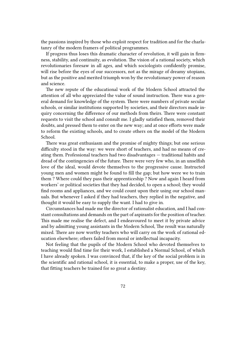the passions inspired by those who exploit respect for tradition and for the charlatanry of the modern framers of political programmes.

If progress thus loses this dramatic character of revolution, it will gain in firmness, stability, and continuity, as evolution. The vision of a rational society, which revolutionaries foresaw in all ages, and which sociologists confidently promise, will rise before the eyes of our successors, not as the mirage of dreamy utopians, but as the positive and merited triumph won by the revolutionary power of reason and science.

The new repute of the educational work of the Modern School attracted the attention of all who appreciated the value of sound instruction. There was a general demand for knowledge of the system. There were numbers of private secular schools, or similar institutions supported by societies, and their directors made inquiry concerning the difference of our methods from theirs. There were constant requests to visit the school and consult me. I gladly satisfied them, removed their doubts, and pressed them to enter on the new way; and at once efforts were made to reform the existing schools, and to create others on the model of the Modern School.

There was great enthusiasm and the promise of mighty things; but one serious difficulty stood in the way: we were short of teachers, and had no means of creating them. Professional teachers had two disadvantages — traditional habits and dread of the contingencies of the future. There were very few who, in an unselfish love of the ideal, would devote themselves to the progressive cause. Instructed young men and women might be found to fill the gap; but how were we to train them ? Where could they pass their apprenticeship ? Now and again I heard from workers' or political societies that they had decided, to open a school; they would find rooms and appliances, and we could count upon their using our school manuals. But whenever I asked if they had teachers, they replied in the negative, and thought it would be easy to supply the want. I had to give in.

Circumstances had made me the director of rationalist education, and I had constant consultations and demands on the part of aspirants for the position of teacher. This made me realise the defect, and I endeavoured to meet it by private advice and by admitting young assistants in the Modern School, The result was naturally mixed. There are now worthy teachers who will carry on the work of rational education elsewhere; others failed from moral or intellectual incapacity.

Not feeling that the pupils of the Modern School who devoted themselves to teaching would find time for their work, I established a Normal School, of which I have already spoken. I was convinced that, if the key of the social problem is in the scientific and rational school, it is essential, to make a proper, use of the key, that fitting teachers be trained for so great a destiny.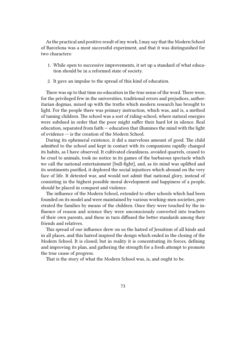As the practical and positive result of my work, I may say that the Modern School of Barcelona was a most successful experiment, and that it was distinguished for two characters:

- 1. While open to successive improvements, it set up a standard of what education should be in a reformed state of society.
- 2. It gave an impulse to the spread of this kind of education.

There was up to that time no education in the true sense of the word. There were, for the privileged few in the universities, traditional errors and prejudices, authoritarian dogmas, mixed up with the truths which modern research has brought to light. For the people there was primary instruction, which was, and is, a method of taming children. The school was a sort of riding-school, where natural energies were subdued in order that the poor might suffer their hard lot in silence. Real education, separated from faith — education that illumines the mind with the light of evidence — is the creation of the Modern School.

During its ephemeral existence, it did a marvelous amount of good. The child admitted to the school and kept in contact with its companions rapidly changed its habits, as I have observed. It cultivated cleanliness, avoided quarrels, ceased to be cruel to animals, took no notice in its games of the barbarous spectacle which we call the national entertainment [bull-fight], and, as its mind was uplifted and its sentiments purified, it deplored the social injustices which abound on the very face of life. It detested war, and would not admit that national glory, instead of consisting in the highest possible moral development and happiness of a people, should be placed in conquest and violence.

The influence of the Modern School, extended to other schools which had been founded on its model and were maintained by various working-men societies, penetrated the families by means of the children. Once they were touched by the influence of reason and science they were unconsciously converted into teachers of their own parents, and these in turn diffused the better standards among their friends and relatives.

This spread of our influence drew on us the hatred of Jesuitism of all kinds and in all places, and this hatred inspired the design which ended in the closing of the Modern School. It is closed; but in reality it is concentrating its forces, defining and improving its plan, and gathering the strength for a fresh attempt to promote the true cause of progress.

That is the story of what the Modern School was, is, and ought to be.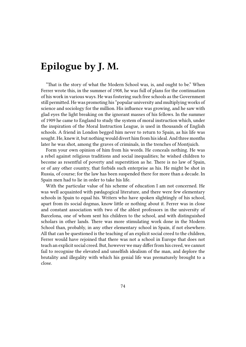## **Epilogue by J. M.**

"That is the story of what the Modern School was, is, and ought to be." When Ferrer wrote this, in the summer of 1908, he was full of plans for the continuation of his work in various ways. He was fostering such free schools as the Government still permitted. He was promoting his "popular university and multiplying works of science and sociology for the million. His influence was growing, and he saw with glad eyes the light breaking on the ignorant masses of his fellows. In the summer of 1909 he came to England to study the system of moral instruction which, under the inspiration of the Moral Instruction League, is used in thousands of English schools. A friend in London begged him never to return to Spain, as his life was sought. He, knew it, but nothing would divert him from his ideal. And three months later he was shot, among the graves of criminals, in the trenches of Montjuich.

Form your own opinion of him from his words. He conceals nothing. He was a rebel against religious traditions and social inequalities; he wished children to become as resentful of poverty and superstition as he. There is no law of Spain, or of any other country, that forbids such enterprise as his. He might be shot in Russia, of course; for the law has been suspended there for more than a decade. In Spain men had to lie in order to take his life.

With the particular value of his scheme of education I am not concerned. He was well acquainted with pædagogical literature, and there were few elementary schools in Spain to equal his. Writers who have spoken slightingly of his school, apart from its social dogmas, know little or nothing about it. Ferrer was in close and constant association with two of the ablest professors in the university of Barcelona, one of whom sent his children to the school, and with distinguished scholars in other lands. There was more stimulating work done in the Modern School than, probably, in any other elementary school in Spain, if not elsewhere. All that can be questioned is the teaching of an explicit social creed to the children, Ferrer would have rejoined that there was not a school in Europe that does not teach an explicit social creed. But, however we may differ from his creed, we cannot fail to recognise the elevated and unselfish idealism of the man, and deplore the brutality and illegality with which his genial life was prematurely brought to a close.